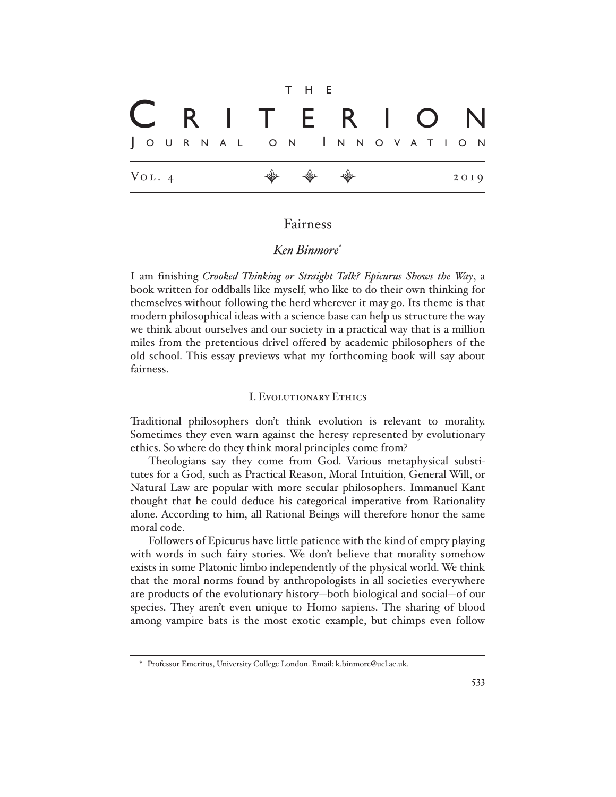

# Fairness

# *Ken Binmore*\*

I am finishing *Crooked Thinking or Straight Talk? Epicurus Shows the Way*, a book written for oddballs like myself, who like to do their own thinking for themselves without following the herd wherever it may go. Its theme is that modern philosophical ideas with a science base can help us structure the way we think about ourselves and our society in a practical way that is a million miles from the pretentious drivel offered by academic philosophers of the old school. This essay previews what my forthcoming book will say about fairness.

### I. Evolutionary Ethics

Traditional philosophers don't think evolution is relevant to morality. Sometimes they even warn against the heresy represented by evolutionary ethics. So where do they think moral principles come from?

Theologians say they come from God. Various metaphysical substitutes for a God, such as Practical Reason, Moral Intuition, General Will, or Natural Law are popular with more secular philosophers. Immanuel Kant thought that he could deduce his categorical imperative from Rationality alone. According to him, all Rational Beings will therefore honor the same moral code.

Followers of Epicurus have little patience with the kind of empty playing with words in such fairy stories. We don't believe that morality somehow exists in some Platonic limbo independently of the physical world. We think that the moral norms found by anthropologists in all societies everywhere are products of the evolutionary history—both biological and social—of our species. They aren't even unique to Homo sapiens. The sharing of blood among vampire bats is the most exotic example, but chimps even follow

<sup>\*</sup> Professor Emeritus, University College London. Email: k.binmore@ucl.ac.uk.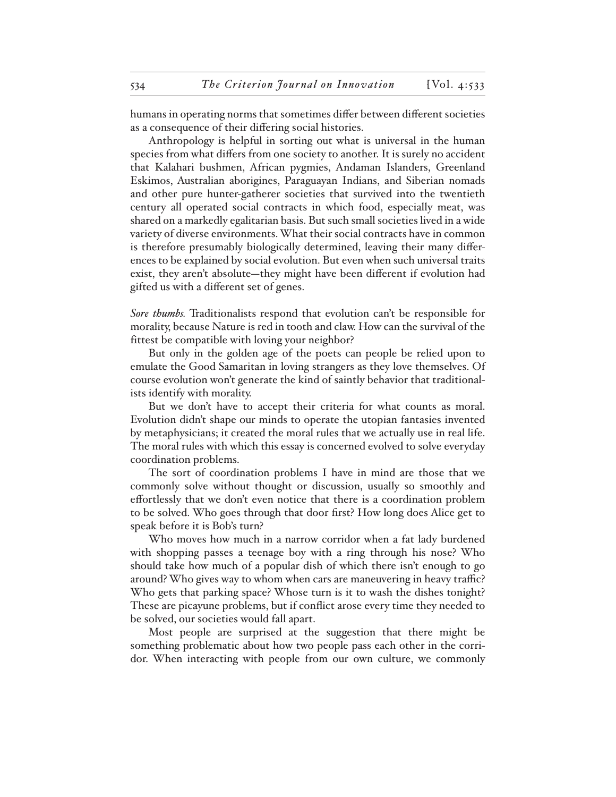humans in operating norms that sometimes differ between different societies as a consequence of their differing social histories.

Anthropology is helpful in sorting out what is universal in the human species from what differs from one society to another. It is surely no accident that Kalahari bushmen, African pygmies, Andaman Islanders, Greenland Eskimos, Australian aborigines, Paraguayan Indians, and Siberian nomads and other pure hunter-gatherer societies that survived into the twentieth century all operated social contracts in which food, especially meat, was shared on a markedly egalitarian basis. But such small societies lived in a wide variety of diverse environments. What their social contracts have in common is therefore presumably biologically determined, leaving their many differences to be explained by social evolution. But even when such universal traits exist, they aren't absolute—they might have been different if evolution had gifted us with a different set of genes.

*Sore thumbs.* Traditionalists respond that evolution can't be responsible for morality, because Nature is red in tooth and claw. How can the survival of the fittest be compatible with loving your neighbor?

But only in the golden age of the poets can people be relied upon to emulate the Good Samaritan in loving strangers as they love themselves. Of course evolution won't generate the kind of saintly behavior that traditionalists identify with morality.

But we don't have to accept their criteria for what counts as moral. Evolution didn't shape our minds to operate the utopian fantasies invented by metaphysicians; it created the moral rules that we actually use in real life. The moral rules with which this essay is concerned evolved to solve everyday coordination problems.

The sort of coordination problems I have in mind are those that we commonly solve without thought or discussion, usually so smoothly and effortlessly that we don't even notice that there is a coordination problem to be solved. Who goes through that door first? How long does Alice get to speak before it is Bob's turn?

Who moves how much in a narrow corridor when a fat lady burdened with shopping passes a teenage boy with a ring through his nose? Who should take how much of a popular dish of which there isn't enough to go around? Who gives way to whom when cars are maneuvering in heavy traffic? Who gets that parking space? Whose turn is it to wash the dishes tonight? These are picayune problems, but if conflict arose every time they needed to be solved, our societies would fall apart.

Most people are surprised at the suggestion that there might be something problematic about how two people pass each other in the corridor. When interacting with people from our own culture, we commonly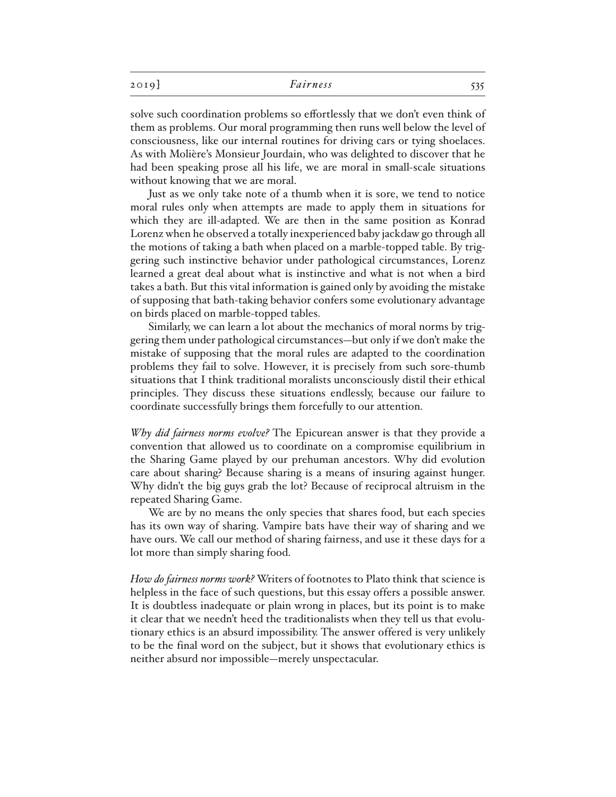| 2019 | Fairness | 535 |
|------|----------|-----|
|      |          |     |

solve such coordination problems so effortlessly that we don't even think of them as problems. Our moral programming then runs well below the level of consciousness, like our internal routines for driving cars or tying shoelaces. As with Molière's Monsieur Jourdain, who was delighted to discover that he had been speaking prose all his life, we are moral in small-scale situations without knowing that we are moral.

Just as we only take note of a thumb when it is sore, we tend to notice moral rules only when attempts are made to apply them in situations for which they are ill-adapted. We are then in the same position as Konrad Lorenz when he observed a totally inexperienced baby jackdaw go through all the motions of taking a bath when placed on a marble-topped table. By triggering such instinctive behavior under pathological circumstances, Lorenz learned a great deal about what is instinctive and what is not when a bird takes a bath. But this vital information is gained only by avoiding the mistake of supposing that bath-taking behavior confers some evolutionary advantage on birds placed on marble-topped tables.

Similarly, we can learn a lot about the mechanics of moral norms by triggering them under pathological circumstances—but only if we don't make the mistake of supposing that the moral rules are adapted to the coordination problems they fail to solve. However, it is precisely from such sore-thumb situations that I think traditional moralists unconsciously distil their ethical principles. They discuss these situations endlessly, because our failure to coordinate successfully brings them forcefully to our attention.

*Why did fairness norms evolve?* The Epicurean answer is that they provide a convention that allowed us to coordinate on a compromise equilibrium in the Sharing Game played by our prehuman ancestors. Why did evolution care about sharing? Because sharing is a means of insuring against hunger. Why didn't the big guys grab the lot? Because of reciprocal altruism in the repeated Sharing Game.

We are by no means the only species that shares food, but each species has its own way of sharing. Vampire bats have their way of sharing and we have ours. We call our method of sharing fairness, and use it these days for a lot more than simply sharing food.

*How do fairness norms work?* Writers of footnotes to Plato think that science is helpless in the face of such questions, but this essay offers a possible answer. It is doubtless inadequate or plain wrong in places, but its point is to make it clear that we needn't heed the traditionalists when they tell us that evolutionary ethics is an absurd impossibility. The answer offered is very unlikely to be the final word on the subject, but it shows that evolutionary ethics is neither absurd nor impossible—merely unspectacular.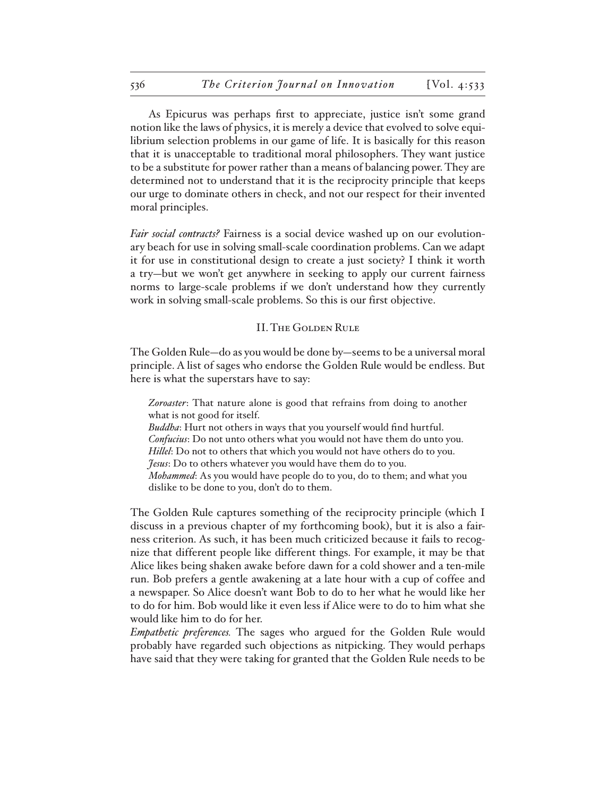As Epicurus was perhaps first to appreciate, justice isn't some grand notion like the laws of physics, it is merely a device that evolved to solve equilibrium selection problems in our game of life. It is basically for this reason that it is unacceptable to traditional moral philosophers. They want justice to be a substitute for power rather than a means of balancing power. They are determined not to understand that it is the reciprocity principle that keeps our urge to dominate others in check, and not our respect for their invented moral principles.

*Fair social contracts?* Fairness is a social device washed up on our evolutionary beach for use in solving small-scale coordination problems. Can we adapt it for use in constitutional design to create a just society? I think it worth a try—but we won't get anywhere in seeking to apply our current fairness norms to large-scale problems if we don't understand how they currently work in solving small-scale problems. So this is our first objective.

### II. The Golden Rule

The Golden Rule—do as you would be done by—seems to be a universal moral principle. A list of sages who endorse the Golden Rule would be endless. But here is what the superstars have to say:

*Zoroaster*: That nature alone is good that refrains from doing to another what is not good for itself.

*Buddha*: Hurt not others in ways that you yourself would find hurtful. *Confucius*: Do not unto others what you would not have them do unto you. *Hillel*: Do not to others that which you would not have others do to you. *Jesus*: Do to others whatever you would have them do to you.

*Mohammed*: As you would have people do to you, do to them; and what you dislike to be done to you, don't do to them.

The Golden Rule captures something of the reciprocity principle (which I discuss in a previous chapter of my forthcoming book), but it is also a fairness criterion. As such, it has been much criticized because it fails to recognize that different people like different things. For example, it may be that Alice likes being shaken awake before dawn for a cold shower and a ten-mile run. Bob prefers a gentle awakening at a late hour with a cup of coffee and a newspaper. So Alice doesn't want Bob to do to her what he would like her to do for him. Bob would like it even less if Alice were to do to him what she would like him to do for her.

*Empathetic preferences.* The sages who argued for the Golden Rule would probably have regarded such objections as nitpicking. They would perhaps have said that they were taking for granted that the Golden Rule needs to be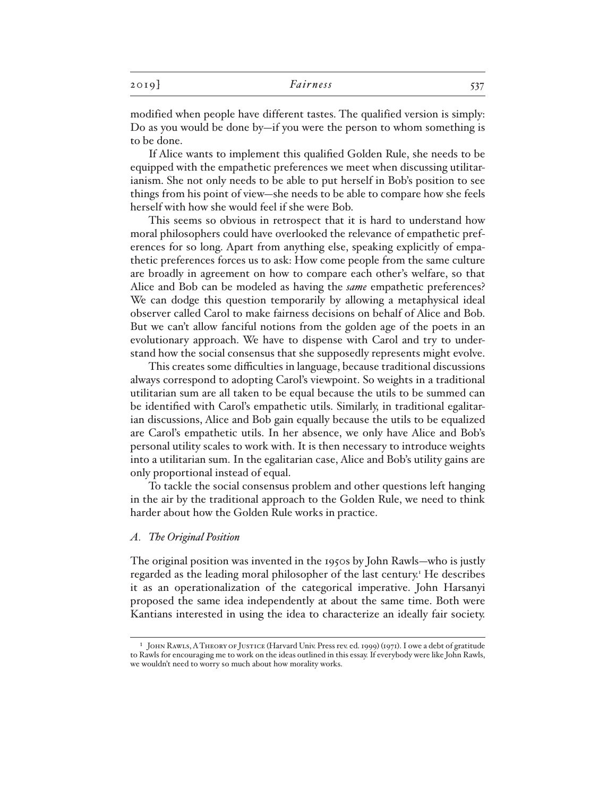| 2019 | <i>Fairness</i> | 537 |
|------|-----------------|-----|
|      |                 |     |

modified when people have different tastes. The qualified version is simply: Do as you would be done by—if you were the person to whom something is to be done.

If Alice wants to implement this qualified Golden Rule, she needs to be equipped with the empathetic preferences we meet when discussing utilitarianism. She not only needs to be able to put herself in Bob's position to see things from his point of view—she needs to be able to compare how she feels herself with how she would feel if she were Bob.

This seems so obvious in retrospect that it is hard to understand how moral philosophers could have overlooked the relevance of empathetic preferences for so long. Apart from anything else, speaking explicitly of empathetic preferences forces us to ask: How come people from the same culture are broadly in agreement on how to compare each other's welfare, so that Alice and Bob can be modeled as having the *same* empathetic preferences? We can dodge this question temporarily by allowing a metaphysical ideal observer called Carol to make fairness decisions on behalf of Alice and Bob. But we can't allow fanciful notions from the golden age of the poets in an evolutionary approach. We have to dispense with Carol and try to understand how the social consensus that she supposedly represents might evolve.

This creates some difficulties in language, because traditional discussions always correspond to adopting Carol's viewpoint. So weights in a traditional utilitarian sum are all taken to be equal because the utils to be summed can be identified with Carol's empathetic utils. Similarly, in traditional egalitarian discussions, Alice and Bob gain equally because the utils to be equalized are Carol's empathetic utils. In her absence, we only have Alice and Bob's personal utility scales to work with. It is then necessary to introduce weights into a utilitarian sum. In the egalitarian case, Alice and Bob's utility gains are only proportional instead of equal.

To tackle the social consensus problem and other questions left hanging in the air by the traditional approach to the Golden Rule, we need to think harder about how the Golden Rule works in practice.

### *A. The Original Position*

The original position was invented in the 1950s by John Rawls—who is justly regarded as the leading moral philosopher of the last century.<sup>1</sup> He describes it as an operationalization of the categorical imperative. John Harsanyi proposed the same idea independently at about the same time. Both were Kantians interested in using the idea to characterize an ideally fair society.

<sup>1</sup> John Rawls, A Theory of Justice (Harvard Univ. Press rev. ed. 1999) (1971). I owe a debt of gratitude to Rawls for encouraging me to work on the ideas outlined in this essay. If everybody were like John Rawls, we wouldn't need to worry so much about how morality works.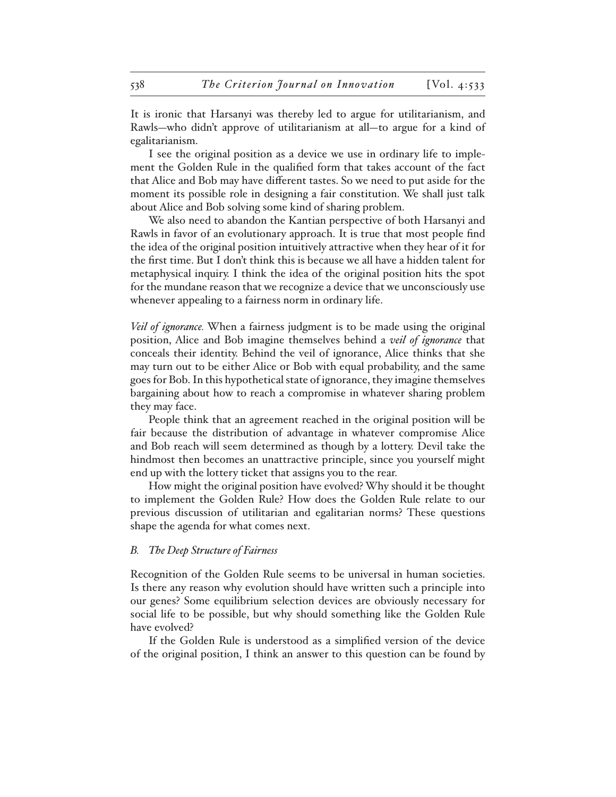It is ironic that Harsanyi was thereby led to argue for utilitarianism, and Rawls—who didn't approve of utilitarianism at all—to argue for a kind of egalitarianism.

I see the original position as a device we use in ordinary life to implement the Golden Rule in the qualified form that takes account of the fact that Alice and Bob may have different tastes. So we need to put aside for the moment its possible role in designing a fair constitution. We shall just talk about Alice and Bob solving some kind of sharing problem.

We also need to abandon the Kantian perspective of both Harsanyi and Rawls in favor of an evolutionary approach. It is true that most people find the idea of the original position intuitively attractive when they hear of it for the first time. But I don't think this is because we all have a hidden talent for metaphysical inquiry. I think the idea of the original position hits the spot for the mundane reason that we recognize a device that we unconsciously use whenever appealing to a fairness norm in ordinary life.

*Veil of ignorance.* When a fairness judgment is to be made using the original position, Alice and Bob imagine themselves behind a *veil of ignorance* that conceals their identity. Behind the veil of ignorance, Alice thinks that she may turn out to be either Alice or Bob with equal probability, and the same goes for Bob. In this hypothetical state of ignorance, they imagine themselves bargaining about how to reach a compromise in whatever sharing problem they may face.

People think that an agreement reached in the original position will be fair because the distribution of advantage in whatever compromise Alice and Bob reach will seem determined as though by a lottery. Devil take the hindmost then becomes an unattractive principle, since you yourself might end up with the lottery ticket that assigns you to the rear.

How might the original position have evolved? Why should it be thought to implement the Golden Rule? How does the Golden Rule relate to our previous discussion of utilitarian and egalitarian norms? These questions shape the agenda for what comes next.

### *B. The Deep Structure of Fairness*

Recognition of the Golden Rule seems to be universal in human societies. Is there any reason why evolution should have written such a principle into our genes? Some equilibrium selection devices are obviously necessary for social life to be possible, but why should something like the Golden Rule have evolved?

If the Golden Rule is understood as a simplified version of the device of the original position, I think an answer to this question can be found by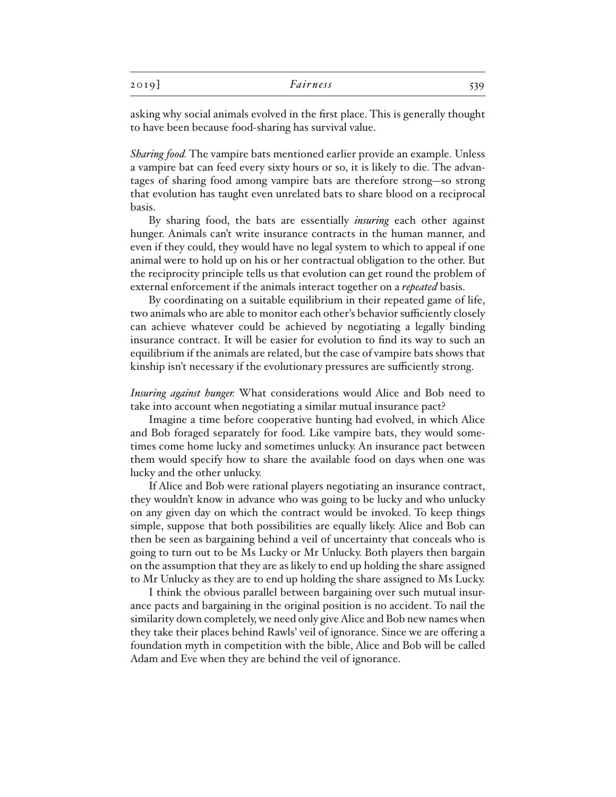| 2019] | Fairness | 539 |
|-------|----------|-----|
|       |          |     |

asking why social animals evolved in the first place. This is generally thought to have been because food-sharing has survival value.

*Sharing food.* The vampire bats mentioned earlier provide an example. Unless a vampire bat can feed every sixty hours or so, it is likely to die. The advantages of sharing food among vampire bats are therefore strong—so strong that evolution has taught even unrelated bats to share blood on a reciprocal basis.

By sharing food, the bats are essentially *insuring* each other against hunger. Animals can't write insurance contracts in the human manner, and even if they could, they would have no legal system to which to appeal if one animal were to hold up on his or her contractual obligation to the other. But the reciprocity principle tells us that evolution can get round the problem of external enforcement if the animals interact together on a *repeated* basis.

By coordinating on a suitable equilibrium in their repeated game of life, two animals who are able to monitor each other's behavior sufficiently closely can achieve whatever could be achieved by negotiating a legally binding insurance contract. It will be easier for evolution to find its way to such an equilibrium if the animals are related, but the case of vampire bats shows that kinship isn't necessary if the evolutionary pressures are sufficiently strong.

*Insuring against hunger.* What considerations would Alice and Bob need to take into account when negotiating a similar mutual insurance pact?

Imagine a time before cooperative hunting had evolved, in which Alice and Bob foraged separately for food. Like vampire bats, they would sometimes come home lucky and sometimes unlucky. An insurance pact between them would specify how to share the available food on days when one was lucky and the other unlucky.

If Alice and Bob were rational players negotiating an insurance contract, they wouldn't know in advance who was going to be lucky and who unlucky on any given day on which the contract would be invoked. To keep things simple, suppose that both possibilities are equally likely. Alice and Bob can then be seen as bargaining behind a veil of uncertainty that conceals who is going to turn out to be Ms Lucky or Mr Unlucky. Both players then bargain on the assumption that they are as likely to end up holding the share assigned to Mr Unlucky as they are to end up holding the share assigned to Ms Lucky.

I think the obvious parallel between bargaining over such mutual insurance pacts and bargaining in the original position is no accident. To nail the similarity down completely, we need only give Alice and Bob new names when they take their places behind Rawls' veil of ignorance. Since we are offering a foundation myth in competition with the bible, Alice and Bob will be called Adam and Eve when they are behind the veil of ignorance.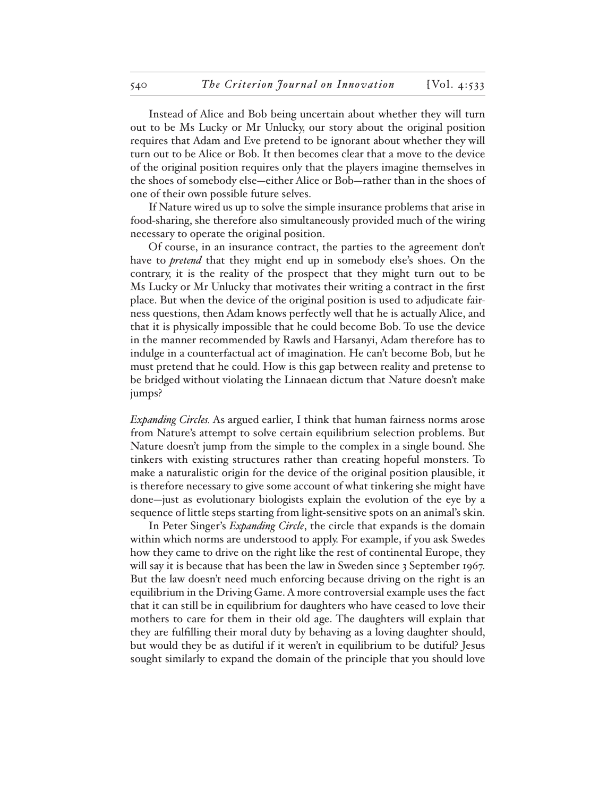Instead of Alice and Bob being uncertain about whether they will turn out to be Ms Lucky or Mr Unlucky, our story about the original position requires that Adam and Eve pretend to be ignorant about whether they will turn out to be Alice or Bob. It then becomes clear that a move to the device of the original position requires only that the players imagine themselves in the shoes of somebody else—either Alice or Bob—rather than in the shoes of one of their own possible future selves.

If Nature wired us up to solve the simple insurance problems that arise in food-sharing, she therefore also simultaneously provided much of the wiring necessary to operate the original position.

Of course, in an insurance contract, the parties to the agreement don't have to *pretend* that they might end up in somebody else's shoes. On the contrary, it is the reality of the prospect that they might turn out to be Ms Lucky or Mr Unlucky that motivates their writing a contract in the first place. But when the device of the original position is used to adjudicate fairness questions, then Adam knows perfectly well that he is actually Alice, and that it is physically impossible that he could become Bob. To use the device in the manner recommended by Rawls and Harsanyi, Adam therefore has to indulge in a counterfactual act of imagination. He can't become Bob, but he must pretend that he could. How is this gap between reality and pretense to be bridged without violating the Linnaean dictum that Nature doesn't make jumps?

*Expanding Circles.* As argued earlier, I think that human fairness norms arose from Nature's attempt to solve certain equilibrium selection problems. But Nature doesn't jump from the simple to the complex in a single bound. She tinkers with existing structures rather than creating hopeful monsters. To make a naturalistic origin for the device of the original position plausible, it is therefore necessary to give some account of what tinkering she might have done—just as evolutionary biologists explain the evolution of the eye by a sequence of little steps starting from light-sensitive spots on an animal's skin.

In Peter Singer's *Expanding Circle*, the circle that expands is the domain within which norms are understood to apply. For example, if you ask Swedes how they came to drive on the right like the rest of continental Europe, they will say it is because that has been the law in Sweden since 3 September 1967. But the law doesn't need much enforcing because driving on the right is an equilibrium in the Driving Game. A more controversial example uses the fact that it can still be in equilibrium for daughters who have ceased to love their mothers to care for them in their old age. The daughters will explain that they are fulfilling their moral duty by behaving as a loving daughter should, but would they be as dutiful if it weren't in equilibrium to be dutiful? Jesus sought similarly to expand the domain of the principle that you should love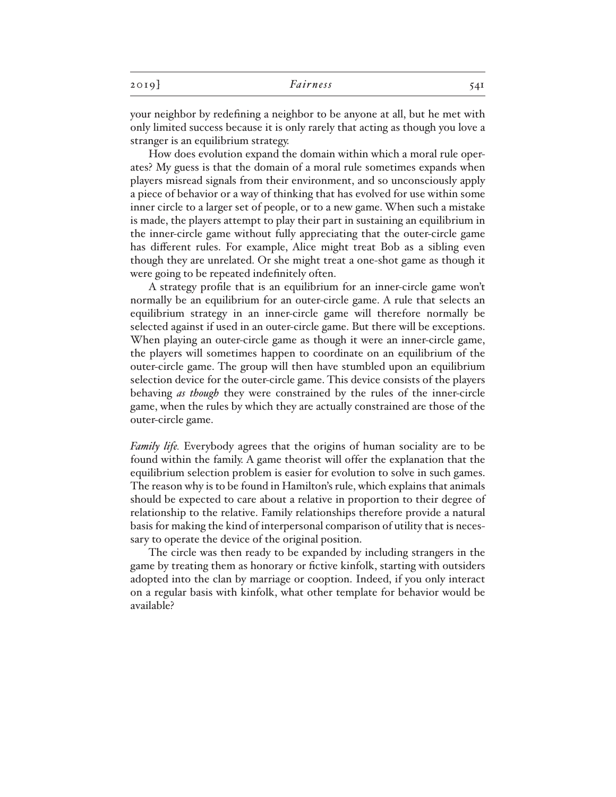| 2019 | <i>Fairness</i> | 541 |
|------|-----------------|-----|
|      |                 |     |

your neighbor by redefining a neighbor to be anyone at all, but he met with only limited success because it is only rarely that acting as though you love a stranger is an equilibrium strategy.

How does evolution expand the domain within which a moral rule operates? My guess is that the domain of a moral rule sometimes expands when players misread signals from their environment, and so unconsciously apply a piece of behavior or a way of thinking that has evolved for use within some inner circle to a larger set of people, or to a new game. When such a mistake is made, the players attempt to play their part in sustaining an equilibrium in the inner-circle game without fully appreciating that the outer-circle game has different rules. For example, Alice might treat Bob as a sibling even though they are unrelated. Or she might treat a one-shot game as though it were going to be repeated indefinitely often.

A strategy profile that is an equilibrium for an inner-circle game won't normally be an equilibrium for an outer-circle game. A rule that selects an equilibrium strategy in an inner-circle game will therefore normally be selected against if used in an outer-circle game. But there will be exceptions. When playing an outer-circle game as though it were an inner-circle game, the players will sometimes happen to coordinate on an equilibrium of the outer-circle game. The group will then have stumbled upon an equilibrium selection device for the outer-circle game. This device consists of the players behaving *as though* they were constrained by the rules of the inner-circle game, when the rules by which they are actually constrained are those of the outer-circle game.

*Family life.* Everybody agrees that the origins of human sociality are to be found within the family. A game theorist will offer the explanation that the equilibrium selection problem is easier for evolution to solve in such games. The reason why is to be found in Hamilton's rule, which explains that animals should be expected to care about a relative in proportion to their degree of relationship to the relative. Family relationships therefore provide a natural basis for making the kind of interpersonal comparison of utility that is necessary to operate the device of the original position.

The circle was then ready to be expanded by including strangers in the game by treating them as honorary or fictive kinfolk, starting with outsiders adopted into the clan by marriage or cooption. Indeed, if you only interact on a regular basis with kinfolk, what other template for behavior would be available?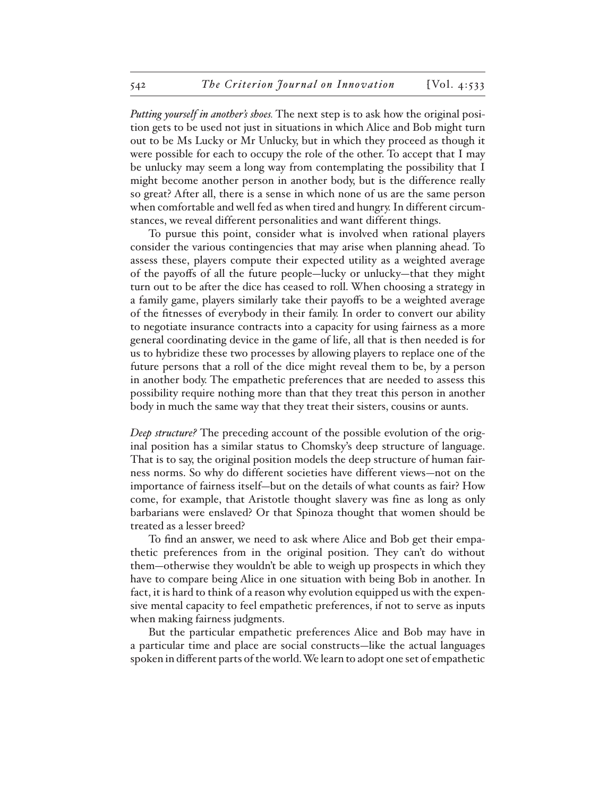*Putting yourself in another's shoes.* The next step is to ask how the original position gets to be used not just in situations in which Alice and Bob might turn out to be Ms Lucky or Mr Unlucky, but in which they proceed as though it were possible for each to occupy the role of the other. To accept that I may be unlucky may seem a long way from contemplating the possibility that I might become another person in another body, but is the difference really so great? After all, there is a sense in which none of us are the same person when comfortable and well fed as when tired and hungry. In different circumstances, we reveal different personalities and want different things.

To pursue this point, consider what is involved when rational players consider the various contingencies that may arise when planning ahead. To assess these, players compute their expected utility as a weighted average of the payoffs of all the future people—lucky or unlucky—that they might turn out to be after the dice has ceased to roll. When choosing a strategy in a family game, players similarly take their payoffs to be a weighted average of the fitnesses of everybody in their family. In order to convert our ability to negotiate insurance contracts into a capacity for using fairness as a more general coordinating device in the game of life, all that is then needed is for us to hybridize these two processes by allowing players to replace one of the future persons that a roll of the dice might reveal them to be, by a person in another body. The empathetic preferences that are needed to assess this possibility require nothing more than that they treat this person in another body in much the same way that they treat their sisters, cousins or aunts.

*Deep structure?* The preceding account of the possible evolution of the original position has a similar status to Chomsky's deep structure of language. That is to say, the original position models the deep structure of human fairness norms. So why do different societies have different views—not on the importance of fairness itself—but on the details of what counts as fair? How come, for example, that Aristotle thought slavery was fine as long as only barbarians were enslaved? Or that Spinoza thought that women should be treated as a lesser breed?

To find an answer, we need to ask where Alice and Bob get their empathetic preferences from in the original position. They can't do without them—otherwise they wouldn't be able to weigh up prospects in which they have to compare being Alice in one situation with being Bob in another. In fact, it is hard to think of a reason why evolution equipped us with the expensive mental capacity to feel empathetic preferences, if not to serve as inputs when making fairness judgments.

But the particular empathetic preferences Alice and Bob may have in a particular time and place are social constructs—like the actual languages spoken in different parts of the world. We learn to adopt one set of empathetic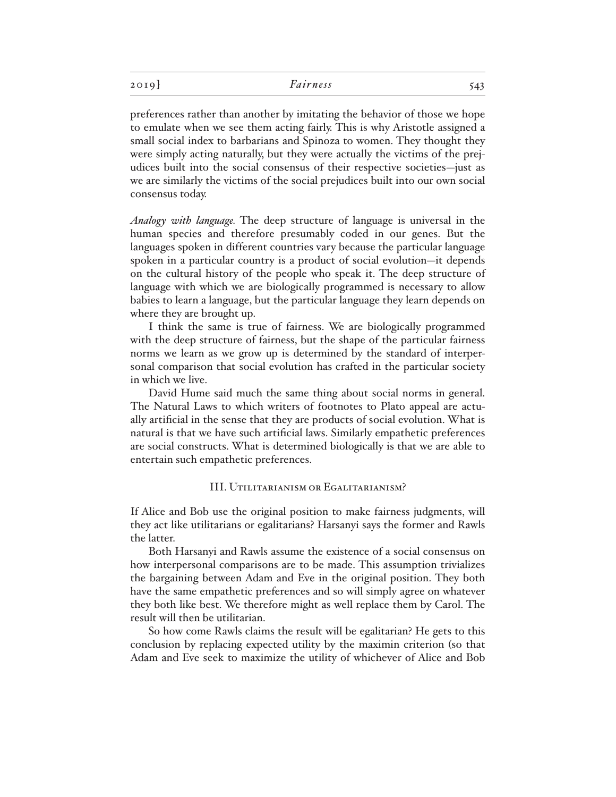| 2019] | Fairness | 543 |
|-------|----------|-----|
|       |          |     |

preferences rather than another by imitating the behavior of those we hope to emulate when we see them acting fairly. This is why Aristotle assigned a small social index to barbarians and Spinoza to women. They thought they were simply acting naturally, but they were actually the victims of the prejudices built into the social consensus of their respective societies—just as we are similarly the victims of the social prejudices built into our own social consensus today.

*Analogy with language.* The deep structure of language is universal in the human species and therefore presumably coded in our genes. But the languages spoken in different countries vary because the particular language spoken in a particular country is a product of social evolution—it depends on the cultural history of the people who speak it. The deep structure of language with which we are biologically programmed is necessary to allow babies to learn a language, but the particular language they learn depends on where they are brought up.

I think the same is true of fairness. We are biologically programmed with the deep structure of fairness, but the shape of the particular fairness norms we learn as we grow up is determined by the standard of interpersonal comparison that social evolution has crafted in the particular society in which we live.

David Hume said much the same thing about social norms in general. The Natural Laws to which writers of footnotes to Plato appeal are actually artificial in the sense that they are products of social evolution. What is natural is that we have such artificial laws. Similarly empathetic preferences are social constructs. What is determined biologically is that we are able to entertain such empathetic preferences.

### III. Utilitarianism or Egalitarianism?

If Alice and Bob use the original position to make fairness judgments, will they act like utilitarians or egalitarians? Harsanyi says the former and Rawls the latter.

Both Harsanyi and Rawls assume the existence of a social consensus on how interpersonal comparisons are to be made. This assumption trivializes the bargaining between Adam and Eve in the original position. They both have the same empathetic preferences and so will simply agree on whatever they both like best. We therefore might as well replace them by Carol. The result will then be utilitarian.

So how come Rawls claims the result will be egalitarian? He gets to this conclusion by replacing expected utility by the maximin criterion (so that Adam and Eve seek to maximize the utility of whichever of Alice and Bob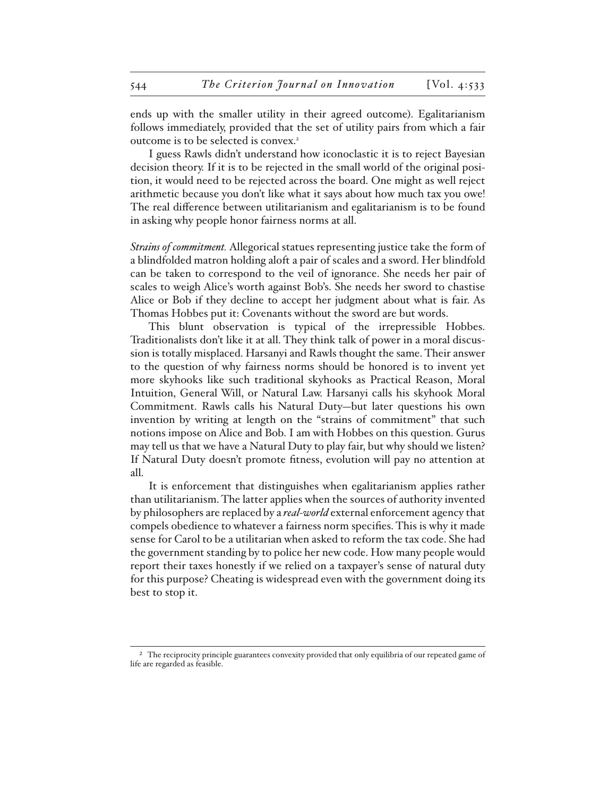ends up with the smaller utility in their agreed outcome). Egalitarianism follows immediately, provided that the set of utility pairs from which a fair outcome is to be selected is convex.<sup>2</sup>

I guess Rawls didn't understand how iconoclastic it is to reject Bayesian decision theory. If it is to be rejected in the small world of the original position, it would need to be rejected across the board. One might as well reject arithmetic because you don't like what it says about how much tax you owe! The real difference between utilitarianism and egalitarianism is to be found in asking why people honor fairness norms at all.

*Strains of commitment.* Allegorical statues representing justice take the form of a blindfolded matron holding aloft a pair of scales and a sword. Her blindfold can be taken to correspond to the veil of ignorance. She needs her pair of scales to weigh Alice's worth against Bob's. She needs her sword to chastise Alice or Bob if they decline to accept her judgment about what is fair. As Thomas Hobbes put it: Covenants without the sword are but words.

This blunt observation is typical of the irrepressible Hobbes. Traditionalists don't like it at all. They think talk of power in a moral discussion is totally misplaced. Harsanyi and Rawls thought the same. Their answer to the question of why fairness norms should be honored is to invent yet more skyhooks like such traditional skyhooks as Practical Reason, Moral Intuition, General Will, or Natural Law. Harsanyi calls his skyhook Moral Commitment. Rawls calls his Natural Duty—but later questions his own invention by writing at length on the "strains of commitment" that such notions impose on Alice and Bob. I am with Hobbes on this question. Gurus may tell us that we have a Natural Duty to play fair, but why should we listen? If Natural Duty doesn't promote fitness, evolution will pay no attention at all.

It is enforcement that distinguishes when egalitarianism applies rather than utilitarianism. The latter applies when the sources of authority invented by philosophers are replaced by a *real-world* external enforcement agency that compels obedience to whatever a fairness norm specifies. This is why it made sense for Carol to be a utilitarian when asked to reform the tax code. She had the government standing by to police her new code. How many people would report their taxes honestly if we relied on a taxpayer's sense of natural duty for this purpose? Cheating is widespread even with the government doing its best to stop it.

<sup>&</sup>lt;sup>2</sup> The reciprocity principle guarantees convexity provided that only equilibria of our repeated game of life are regarded as feasible.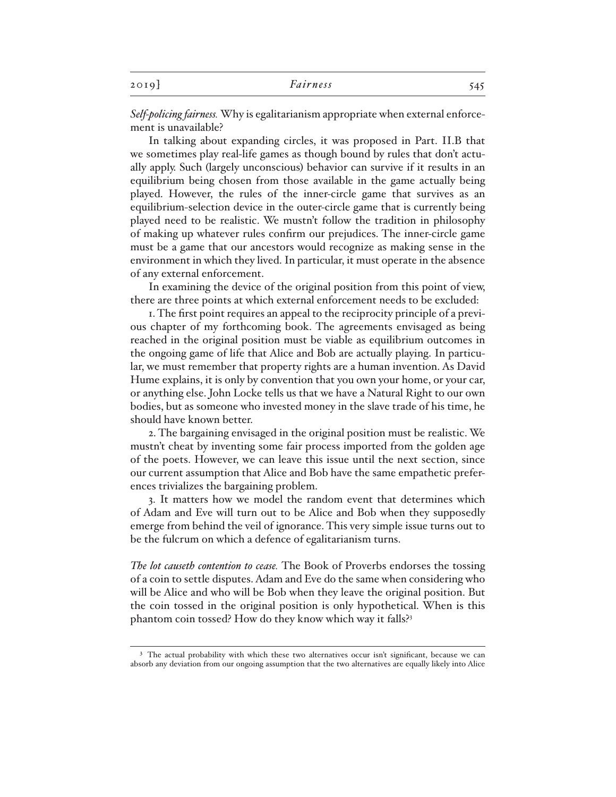| 2019 | Fairness |     |
|------|----------|-----|
|      |          | 545 |

*Self-policing fairness.* Why is egalitarianism appropriate when external enforcement is unavailable?

In talking about expanding circles, it was proposed in Part. II.B that we sometimes play real-life games as though bound by rules that don't actually apply. Such (largely unconscious) behavior can survive if it results in an equilibrium being chosen from those available in the game actually being played. However, the rules of the inner-circle game that survives as an equilibrium-selection device in the outer-circle game that is currently being played need to be realistic. We mustn't follow the tradition in philosophy of making up whatever rules confirm our prejudices. The inner-circle game must be a game that our ancestors would recognize as making sense in the environment in which they lived. In particular, it must operate in the absence of any external enforcement.

In examining the device of the original position from this point of view, there are three points at which external enforcement needs to be excluded:

1. The first point requires an appeal to the reciprocity principle of a previous chapter of my forthcoming book. The agreements envisaged as being reached in the original position must be viable as equilibrium outcomes in the ongoing game of life that Alice and Bob are actually playing. In particular, we must remember that property rights are a human invention. As David Hume explains, it is only by convention that you own your home, or your car, or anything else. John Locke tells us that we have a Natural Right to our own bodies, but as someone who invested money in the slave trade of his time, he should have known better.

2. The bargaining envisaged in the original position must be realistic. We mustn't cheat by inventing some fair process imported from the golden age of the poets. However, we can leave this issue until the next section, since our current assumption that Alice and Bob have the same empathetic preferences trivializes the bargaining problem.

3. It matters how we model the random event that determines which of Adam and Eve will turn out to be Alice and Bob when they supposedly emerge from behind the veil of ignorance. This very simple issue turns out to be the fulcrum on which a defence of egalitarianism turns.

*The lot causeth contention to cease.* The Book of Proverbs endorses the tossing of a coin to settle disputes. Adam and Eve do the same when considering who will be Alice and who will be Bob when they leave the original position. But the coin tossed in the original position is only hypothetical. When is this phantom coin tossed? How do they know which way it falls?3

<sup>&</sup>lt;sup>3</sup> The actual probability with which these two alternatives occur isn't significant, because we can absorb any deviation from our ongoing assumption that the two alternatives are equally likely into Alice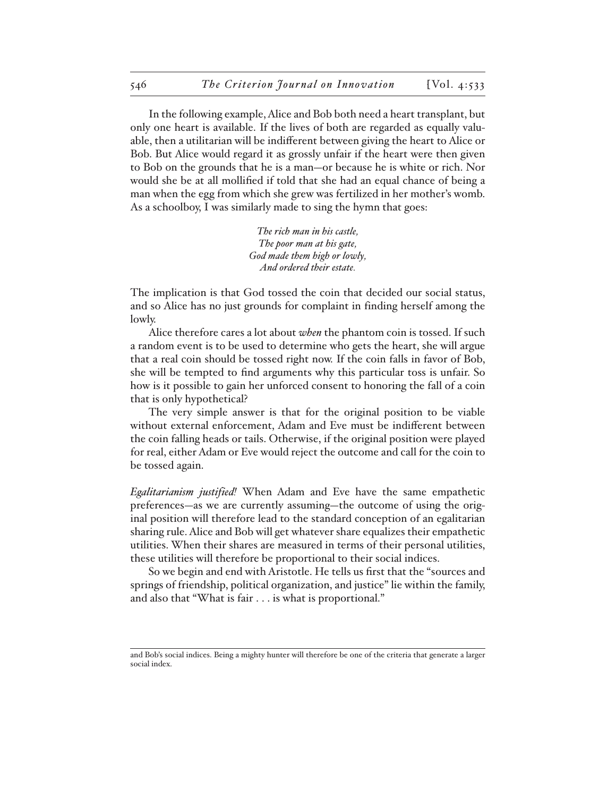In the following example, Alice and Bob both need a heart transplant, but only one heart is available. If the lives of both are regarded as equally valuable, then a utilitarian will be indifferent between giving the heart to Alice or Bob. But Alice would regard it as grossly unfair if the heart were then given to Bob on the grounds that he is a man—or because he is white or rich. Nor would she be at all mollified if told that she had an equal chance of being a man when the egg from which she grew was fertilized in her mother's womb. As a schoolboy, I was similarly made to sing the hymn that goes:

> *The rich man in his castle, The poor man at his gate, God made them high or lowly, And ordered their estate.*

The implication is that God tossed the coin that decided our social status, and so Alice has no just grounds for complaint in finding herself among the lowly.

Alice therefore cares a lot about *when* the phantom coin is tossed. If such a random event is to be used to determine who gets the heart, she will argue that a real coin should be tossed right now. If the coin falls in favor of Bob, she will be tempted to find arguments why this particular toss is unfair. So how is it possible to gain her unforced consent to honoring the fall of a coin that is only hypothetical?

The very simple answer is that for the original position to be viable without external enforcement, Adam and Eve must be indifferent between the coin falling heads or tails. Otherwise, if the original position were played for real, either Adam or Eve would reject the outcome and call for the coin to be tossed again.

*Egalitarianism justified!* When Adam and Eve have the same empathetic preferences—as we are currently assuming—the outcome of using the original position will therefore lead to the standard conception of an egalitarian sharing rule. Alice and Bob will get whatever share equalizes their empathetic utilities. When their shares are measured in terms of their personal utilities, these utilities will therefore be proportional to their social indices.

So we begin and end with Aristotle. He tells us first that the "sources and springs of friendship, political organization, and justice" lie within the family, and also that "What is fair . . . is what is proportional."

and Bob's social indices. Being a mighty hunter will therefore be one of the criteria that generate a larger social index.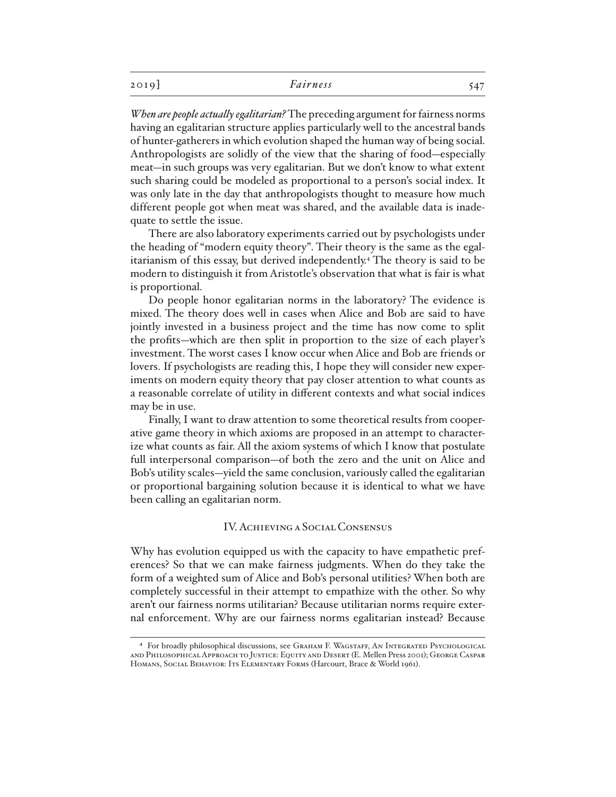# 2019] *Fair ness* 547

*When are people actually egalitarian?* The preceding argument for fairness norms having an egalitarian structure applies particularly well to the ancestral bands of hunter-gatherers in which evolution shaped the human way of being social. Anthropologists are solidly of the view that the sharing of food—especially meat—in such groups was very egalitarian. But we don't know to what extent such sharing could be modeled as proportional to a person's social index. It was only late in the day that anthropologists thought to measure how much different people got when meat was shared, and the available data is inadequate to settle the issue.

There are also laboratory experiments carried out by psychologists under the heading of "modern equity theory". Their theory is the same as the egalitarianism of this essay, but derived independently.4 The theory is said to be modern to distinguish it from Aristotle's observation that what is fair is what is proportional.

Do people honor egalitarian norms in the laboratory? The evidence is mixed. The theory does well in cases when Alice and Bob are said to have jointly invested in a business project and the time has now come to split the profits—which are then split in proportion to the size of each player's investment. The worst cases I know occur when Alice and Bob are friends or lovers. If psychologists are reading this, I hope they will consider new experiments on modern equity theory that pay closer attention to what counts as a reasonable correlate of utility in different contexts and what social indices may be in use.

Finally, I want to draw attention to some theoretical results from cooperative game theory in which axioms are proposed in an attempt to characterize what counts as fair. All the axiom systems of which I know that postulate full interpersonal comparison—of both the zero and the unit on Alice and Bob's utility scales—yield the same conclusion, variously called the egalitarian or proportional bargaining solution because it is identical to what we have been calling an egalitarian norm.

### IV. Achieving a Social Consensus

Why has evolution equipped us with the capacity to have empathetic preferences? So that we can make fairness judgments. When do they take the form of a weighted sum of Alice and Bob's personal utilities? When both are completely successful in their attempt to empathize with the other. So why aren't our fairness norms utilitarian? Because utilitarian norms require external enforcement. Why are our fairness norms egalitarian instead? Because

<sup>4</sup> For broadly philosophical discussions, see Graham F. Wagstaff, An Integrated Psychological and Philosophical Approach to Justice: Equity and Desert (E. Mellen Press 2001); George Caspar HOMANS, SOCIAL BEHAVIOR: ITS ELEMENTARY FORMS (Harcourt, Brace & World 1961).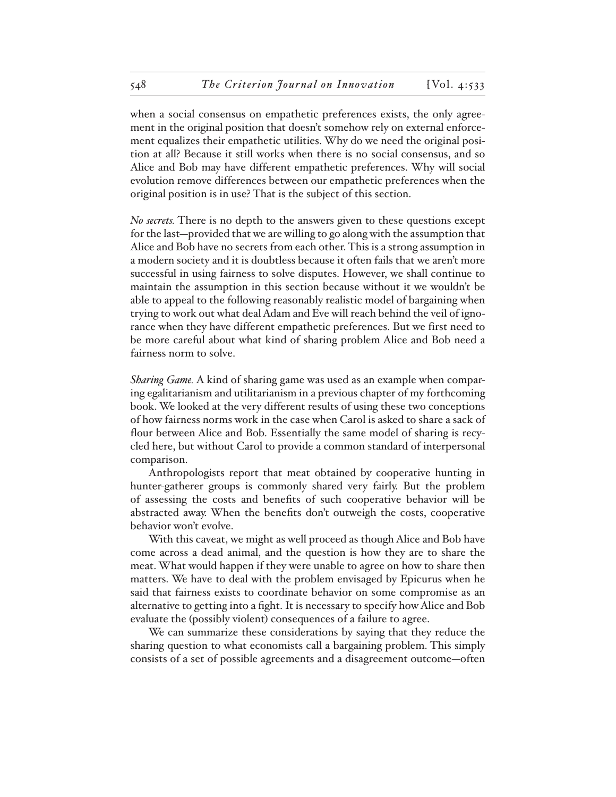when a social consensus on empathetic preferences exists, the only agreement in the original position that doesn't somehow rely on external enforcement equalizes their empathetic utilities. Why do we need the original position at all? Because it still works when there is no social consensus, and so Alice and Bob may have different empathetic preferences. Why will social evolution remove differences between our empathetic preferences when the original position is in use? That is the subject of this section.

*No secrets.* There is no depth to the answers given to these questions except for the last—provided that we are willing to go along with the assumption that Alice and Bob have no secrets from each other. This is a strong assumption in a modern society and it is doubtless because it often fails that we aren't more successful in using fairness to solve disputes. However, we shall continue to maintain the assumption in this section because without it we wouldn't be able to appeal to the following reasonably realistic model of bargaining when trying to work out what deal Adam and Eve will reach behind the veil of ignorance when they have different empathetic preferences. But we first need to be more careful about what kind of sharing problem Alice and Bob need a fairness norm to solve.

*Sharing Game.* A kind of sharing game was used as an example when comparing egalitarianism and utilitarianism in a previous chapter of my forthcoming book. We looked at the very different results of using these two conceptions of how fairness norms work in the case when Carol is asked to share a sack of flour between Alice and Bob. Essentially the same model of sharing is recycled here, but without Carol to provide a common standard of interpersonal comparison.

Anthropologists report that meat obtained by cooperative hunting in hunter-gatherer groups is commonly shared very fairly. But the problem of assessing the costs and benefits of such cooperative behavior will be abstracted away. When the benefits don't outweigh the costs, cooperative behavior won't evolve.

With this caveat, we might as well proceed as though Alice and Bob have come across a dead animal, and the question is how they are to share the meat. What would happen if they were unable to agree on how to share then matters. We have to deal with the problem envisaged by Epicurus when he said that fairness exists to coordinate behavior on some compromise as an alternative to getting into a fight. It is necessary to specify how Alice and Bob evaluate the (possibly violent) consequences of a failure to agree.

We can summarize these considerations by saying that they reduce the sharing question to what economists call a bargaining problem. This simply consists of a set of possible agreements and a disagreement outcome—often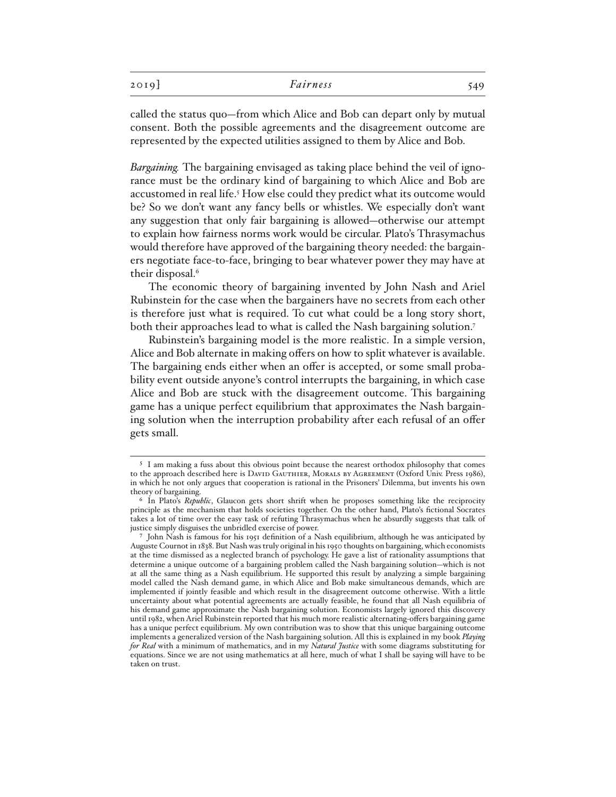| 2019 | Fairness | 549 |
|------|----------|-----|

called the status quo—from which Alice and Bob can depart only by mutual consent. Both the possible agreements and the disagreement outcome are represented by the expected utilities assigned to them by Alice and Bob.

*Bargaining.* The bargaining envisaged as taking place behind the veil of ignorance must be the ordinary kind of bargaining to which Alice and Bob are accustomed in real life.<sup>5</sup> How else could they predict what its outcome would be? So we don't want any fancy bells or whistles. We especially don't want any suggestion that only fair bargaining is allowed—otherwise our attempt to explain how fairness norms work would be circular. Plato's Thrasymachus would therefore have approved of the bargaining theory needed: the bargainers negotiate face-to-face, bringing to bear whatever power they may have at their disposal.<sup>6</sup>

The economic theory of bargaining invented by John Nash and Ariel Rubinstein for the case when the bargainers have no secrets from each other is therefore just what is required. To cut what could be a long story short, both their approaches lead to what is called the Nash bargaining solution.<sup>7</sup>

Rubinstein's bargaining model is the more realistic. In a simple version, Alice and Bob alternate in making offers on how to split whatever is available. The bargaining ends either when an offer is accepted, or some small probability event outside anyone's control interrupts the bargaining, in which case Alice and Bob are stuck with the disagreement outcome. This bargaining game has a unique perfect equilibrium that approximates the Nash bargaining solution when the interruption probability after each refusal of an offer gets small.

<sup>5</sup> I am making a fuss about this obvious point because the nearest orthodox philosophy that comes to the approach described here is DAVID GAUTHIER, MORALS BY AGREEMENT (Oxford Univ. Press 1986), in which he not only argues that cooperation is rational in the Prisoners' Dilemma, but invents his own theory of bargaining.

<sup>6</sup> In Plato's *Republic*, Glaucon gets short shrift when he proposes something like the reciprocity principle as the mechanism that holds societies together. On the other hand, Plato's fictional Socrates takes a lot of time over the easy task of refuting Thrasymachus when he absurdly suggests that talk of justice simply disguises the unbridled exercise of power.

John Nash is famous for his 1951 definition of a Nash equilibrium, although he was anticipated by Auguste Cournot in 1838. But Nash was truly original in his 1950 thoughts on bargaining, which economists at the time dismissed as a neglected branch of psychology. He gave a list of rationality assumptions that determine a unique outcome of a bargaining problem called the Nash bargaining solution—which is not at all the same thing as a Nash equilibrium. He supported this result by analyzing a simple bargaining model called the Nash demand game, in which Alice and Bob make simultaneous demands, which are implemented if jointly feasible and which result in the disagreement outcome otherwise. With a little uncertainty about what potential agreements are actually feasible, he found that all Nash equilibria of his demand game approximate the Nash bargaining solution. Economists largely ignored this discovery until 1982, when Ariel Rubinstein reported that his much more realistic alternating-offers bargaining game has a unique perfect equilibrium. My own contribution was to show that this unique bargaining outcome implements a generalized version of the Nash bargaining solution. All this is explained in my book *Playing for Real* with a minimum of mathematics, and in my *Natural Justice* with some diagrams substituting for equations. Since we are not using mathematics at all here, much of what I shall be saying will have to be taken on trust.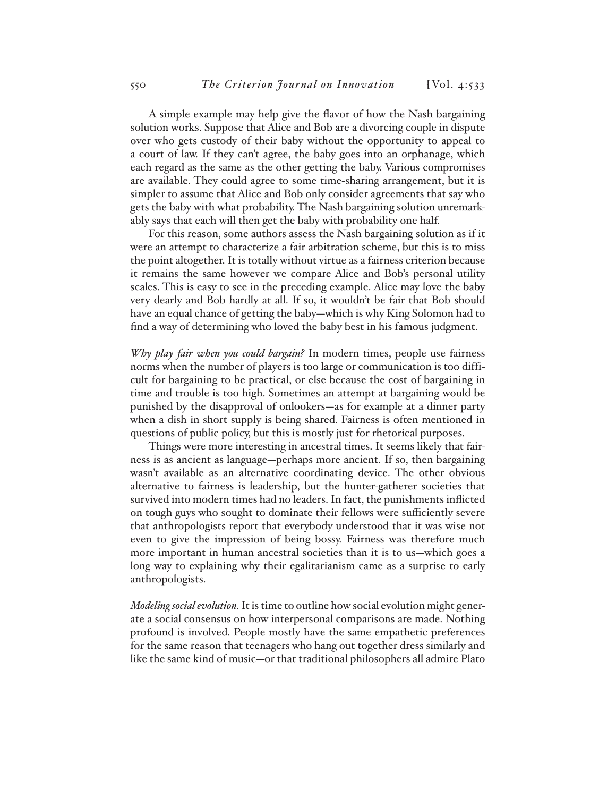A simple example may help give the flavor of how the Nash bargaining solution works. Suppose that Alice and Bob are a divorcing couple in dispute over who gets custody of their baby without the opportunity to appeal to a court of law. If they can't agree, the baby goes into an orphanage, which each regard as the same as the other getting the baby. Various compromises are available. They could agree to some time-sharing arrangement, but it is simpler to assume that Alice and Bob only consider agreements that say who gets the baby with what probability. The Nash bargaining solution unremarkably says that each will then get the baby with probability one half.

For this reason, some authors assess the Nash bargaining solution as if it were an attempt to characterize a fair arbitration scheme, but this is to miss the point altogether. It is totally without virtue as a fairness criterion because it remains the same however we compare Alice and Bob's personal utility scales. This is easy to see in the preceding example. Alice may love the baby very dearly and Bob hardly at all. If so, it wouldn't be fair that Bob should have an equal chance of getting the baby—which is why King Solomon had to find a way of determining who loved the baby best in his famous judgment.

*Why play fair when you could bargain?* In modern times, people use fairness norms when the number of players is too large or communication is too difficult for bargaining to be practical, or else because the cost of bargaining in time and trouble is too high. Sometimes an attempt at bargaining would be punished by the disapproval of onlookers—as for example at a dinner party when a dish in short supply is being shared. Fairness is often mentioned in questions of public policy, but this is mostly just for rhetorical purposes.

Things were more interesting in ancestral times. It seems likely that fairness is as ancient as language—perhaps more ancient. If so, then bargaining wasn't available as an alternative coordinating device. The other obvious alternative to fairness is leadership, but the hunter-gatherer societies that survived into modern times had no leaders. In fact, the punishments inflicted on tough guys who sought to dominate their fellows were sufficiently severe that anthropologists report that everybody understood that it was wise not even to give the impression of being bossy. Fairness was therefore much more important in human ancestral societies than it is to us—which goes a long way to explaining why their egalitarianism came as a surprise to early anthropologists.

*Modeling social evolution.* It is time to outline how social evolution might generate a social consensus on how interpersonal comparisons are made. Nothing profound is involved. People mostly have the same empathetic preferences for the same reason that teenagers who hang out together dress similarly and like the same kind of music—or that traditional philosophers all admire Plato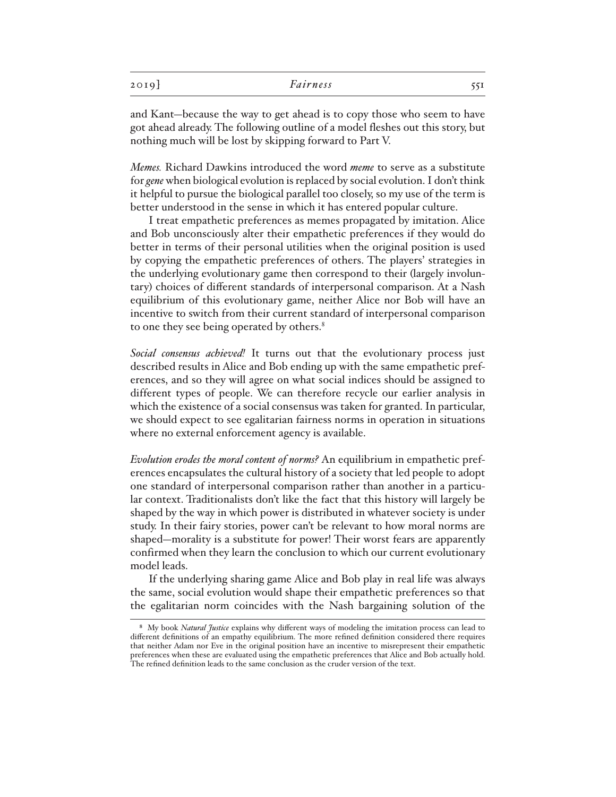| 2019] | Fairness | 551 |
|-------|----------|-----|
|       |          |     |

and Kant—because the way to get ahead is to copy those who seem to have got ahead already. The following outline of a model fleshes out this story, but nothing much will be lost by skipping forward to Part V.

*Memes.* Richard Dawkins introduced the word *meme* to serve as a substitute for *gene* when biological evolution is replaced by social evolution. I don't think it helpful to pursue the biological parallel too closely, so my use of the term is better understood in the sense in which it has entered popular culture.

I treat empathetic preferences as memes propagated by imitation. Alice and Bob unconsciously alter their empathetic preferences if they would do better in terms of their personal utilities when the original position is used by copying the empathetic preferences of others. The players' strategies in the underlying evolutionary game then correspond to their (largely involuntary) choices of different standards of interpersonal comparison. At a Nash equilibrium of this evolutionary game, neither Alice nor Bob will have an incentive to switch from their current standard of interpersonal comparison to one they see being operated by others.<sup>8</sup>

*Social consensus achieved!* It turns out that the evolutionary process just described results in Alice and Bob ending up with the same empathetic preferences, and so they will agree on what social indices should be assigned to different types of people. We can therefore recycle our earlier analysis in which the existence of a social consensus was taken for granted. In particular, we should expect to see egalitarian fairness norms in operation in situations where no external enforcement agency is available.

*Evolution erodes the moral content of norms?* An equilibrium in empathetic preferences encapsulates the cultural history of a society that led people to adopt one standard of interpersonal comparison rather than another in a particular context. Traditionalists don't like the fact that this history will largely be shaped by the way in which power is distributed in whatever society is under study. In their fairy stories, power can't be relevant to how moral norms are shaped—morality is a substitute for power! Their worst fears are apparently confirmed when they learn the conclusion to which our current evolutionary model leads.

If the underlying sharing game Alice and Bob play in real life was always the same, social evolution would shape their empathetic preferences so that the egalitarian norm coincides with the Nash bargaining solution of the

<sup>8</sup> My book *Natural Justice* explains why different ways of modeling the imitation process can lead to different definitions of an empathy equilibrium. The more refined definition considered there requires that neither Adam nor Eve in the original position have an incentive to misrepresent their empathetic preferences when these are evaluated using the empathetic preferences that Alice and Bob actually hold. The refined definition leads to the same conclusion as the cruder version of the text.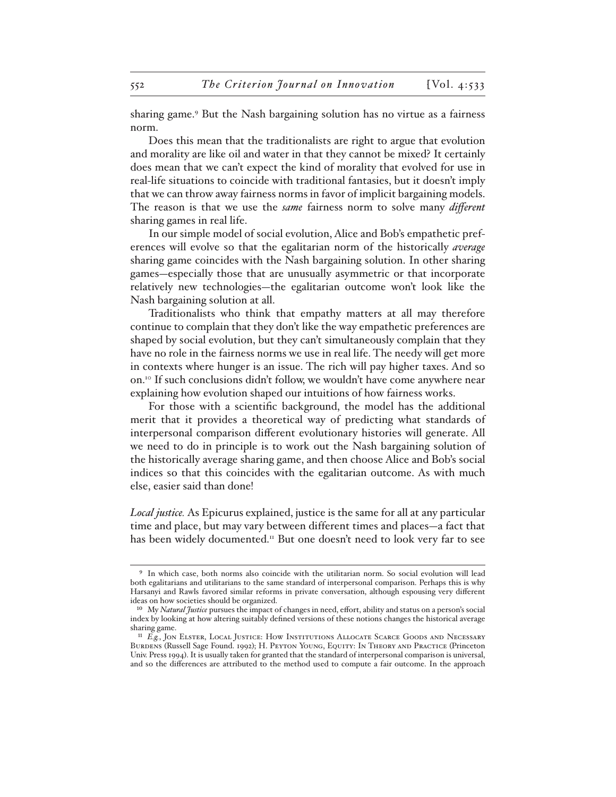sharing game.9 But the Nash bargaining solution has no virtue as a fairness norm.

Does this mean that the traditionalists are right to argue that evolution and morality are like oil and water in that they cannot be mixed? It certainly does mean that we can't expect the kind of morality that evolved for use in real-life situations to coincide with traditional fantasies, but it doesn't imply that we can throw away fairness norms in favor of implicit bargaining models. The reason is that we use the *same* fairness norm to solve many *different* sharing games in real life.

In our simple model of social evolution, Alice and Bob's empathetic preferences will evolve so that the egalitarian norm of the historically *average* sharing game coincides with the Nash bargaining solution. In other sharing games—especially those that are unusually asymmetric or that incorporate relatively new technologies—the egalitarian outcome won't look like the Nash bargaining solution at all.

Traditionalists who think that empathy matters at all may therefore continue to complain that they don't like the way empathetic preferences are shaped by social evolution, but they can't simultaneously complain that they have no role in the fairness norms we use in real life. The needy will get more in contexts where hunger is an issue. The rich will pay higher taxes. And so on.10 If such conclusions didn't follow, we wouldn't have come anywhere near explaining how evolution shaped our intuitions of how fairness works.

For those with a scientific background, the model has the additional merit that it provides a theoretical way of predicting what standards of interpersonal comparison different evolutionary histories will generate. All we need to do in principle is to work out the Nash bargaining solution of the historically average sharing game, and then choose Alice and Bob's social indices so that this coincides with the egalitarian outcome. As with much else, easier said than done!

*Local justice.* As Epicurus explained, justice is the same for all at any particular time and place, but may vary between different times and places—a fact that has been widely documented.<sup>11</sup> But one doesn't need to look very far to see

<sup>9</sup> In which case, both norms also coincide with the utilitarian norm. So social evolution will lead both egalitarians and utilitarians to the same standard of interpersonal comparison. Perhaps this is why Harsanyi and Rawls favored similar reforms in private conversation, although espousing very different ideas on how societies should be organized.

<sup>10</sup> My *Natural Justice* pursues the impact of changes in need, effort, ability and status on a person's social index by looking at how altering suitably defined versions of these notions changes the historical average sharing game.

<sup>&</sup>lt;sup>11</sup> *E.g.*, Jon Elster, Local Justice: How Institutions Allocate Scarce Goods and Necessary Burdens (Russell Sage Found. 1992); H. Peyton Young, Equity: In Theory and Practice (Princeton Univ. Press 1994). It is usually taken for granted that the standard of interpersonal comparison is universal, and so the differences are attributed to the method used to compute a fair outcome. In the approach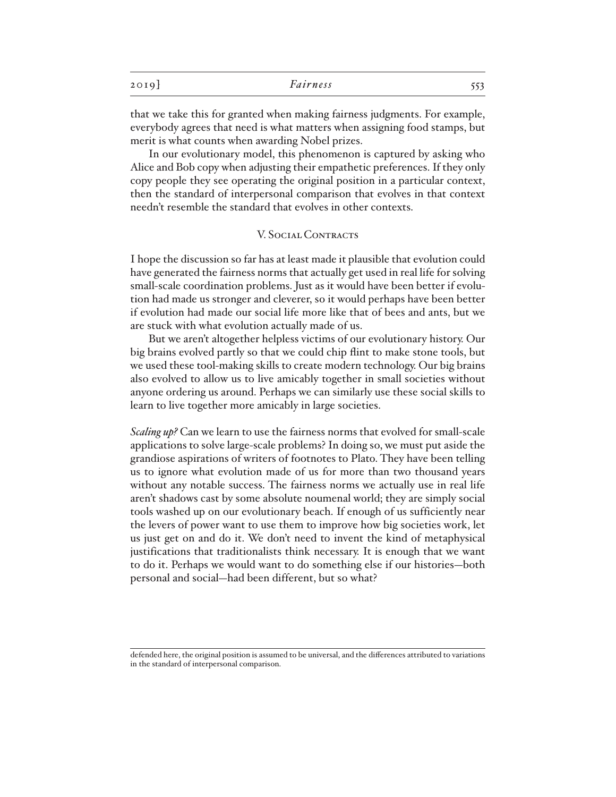| 2019] | Fairness | 553 |
|-------|----------|-----|
|       |          |     |

that we take this for granted when making fairness judgments. For example, everybody agrees that need is what matters when assigning food stamps, but merit is what counts when awarding Nobel prizes.

In our evolutionary model, this phenomenon is captured by asking who Alice and Bob copy when adjusting their empathetic preferences. If they only copy people they see operating the original position in a particular context, then the standard of interpersonal comparison that evolves in that context needn't resemble the standard that evolves in other contexts.

### V. Social Contracts

I hope the discussion so far has at least made it plausible that evolution could have generated the fairness norms that actually get used in real life for solving small-scale coordination problems. Just as it would have been better if evolution had made us stronger and cleverer, so it would perhaps have been better if evolution had made our social life more like that of bees and ants, but we are stuck with what evolution actually made of us.

But we aren't altogether helpless victims of our evolutionary history. Our big brains evolved partly so that we could chip flint to make stone tools, but we used these tool-making skills to create modern technology. Our big brains also evolved to allow us to live amicably together in small societies without anyone ordering us around. Perhaps we can similarly use these social skills to learn to live together more amicably in large societies.

*Scaling up?* Can we learn to use the fairness norms that evolved for small-scale applications to solve large-scale problems? In doing so, we must put aside the grandiose aspirations of writers of footnotes to Plato. They have been telling us to ignore what evolution made of us for more than two thousand years without any notable success. The fairness norms we actually use in real life aren't shadows cast by some absolute noumenal world; they are simply social tools washed up on our evolutionary beach. If enough of us sufficiently near the levers of power want to use them to improve how big societies work, let us just get on and do it. We don't need to invent the kind of metaphysical justifications that traditionalists think necessary. It is enough that we want to do it. Perhaps we would want to do something else if our histories—both personal and social—had been different, but so what?

defended here, the original position is assumed to be universal, and the differences attributed to variations in the standard of interpersonal comparison.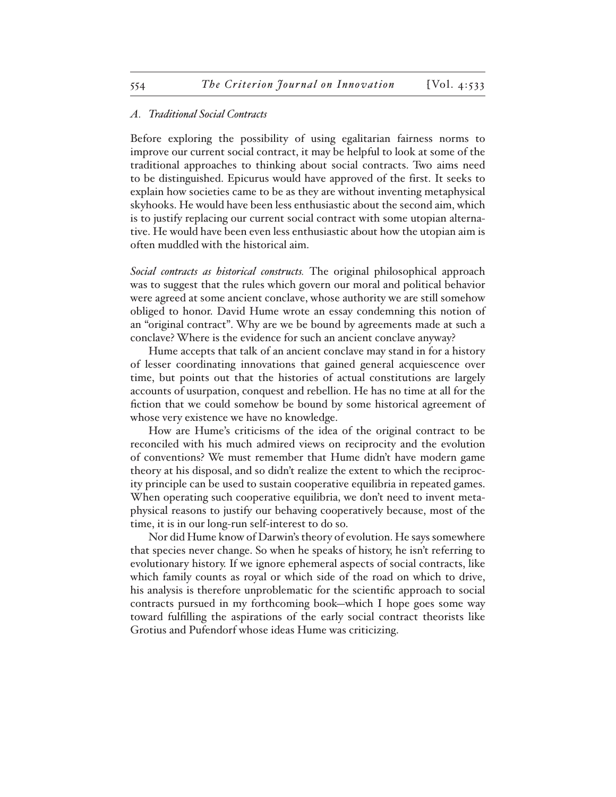### *A. Traditional Social Contracts*

Before exploring the possibility of using egalitarian fairness norms to improve our current social contract, it may be helpful to look at some of the traditional approaches to thinking about social contracts. Two aims need to be distinguished. Epicurus would have approved of the first. It seeks to explain how societies came to be as they are without inventing metaphysical skyhooks. He would have been less enthusiastic about the second aim, which is to justify replacing our current social contract with some utopian alternative. He would have been even less enthusiastic about how the utopian aim is often muddled with the historical aim.

*Social contracts as historical constructs.* The original philosophical approach was to suggest that the rules which govern our moral and political behavior were agreed at some ancient conclave, whose authority we are still somehow obliged to honor. David Hume wrote an essay condemning this notion of an "original contract". Why are we be bound by agreements made at such a conclave? Where is the evidence for such an ancient conclave anyway?

Hume accepts that talk of an ancient conclave may stand in for a history of lesser coordinating innovations that gained general acquiescence over time, but points out that the histories of actual constitutions are largely accounts of usurpation, conquest and rebellion. He has no time at all for the fiction that we could somehow be bound by some historical agreement of whose very existence we have no knowledge.

How are Hume's criticisms of the idea of the original contract to be reconciled with his much admired views on reciprocity and the evolution of conventions? We must remember that Hume didn't have modern game theory at his disposal, and so didn't realize the extent to which the reciprocity principle can be used to sustain cooperative equilibria in repeated games. When operating such cooperative equilibria, we don't need to invent metaphysical reasons to justify our behaving cooperatively because, most of the time, it is in our long-run self-interest to do so.

Nor did Hume know of Darwin's theory of evolution. He says somewhere that species never change. So when he speaks of history, he isn't referring to evolutionary history. If we ignore ephemeral aspects of social contracts, like which family counts as royal or which side of the road on which to drive, his analysis is therefore unproblematic for the scientific approach to social contracts pursued in my forthcoming book—which I hope goes some way toward fulfilling the aspirations of the early social contract theorists like Grotius and Pufendorf whose ideas Hume was criticizing.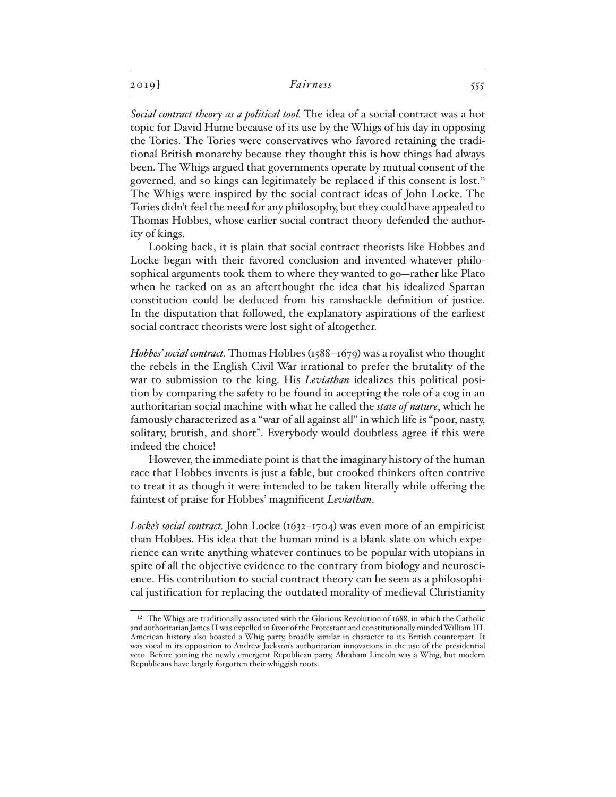# 2019] *Fair ness* 555

*Social contract theory as a political tool.* The idea of a social contract was a hot topic for David Hume because of its use by the Whigs of his day in opposing the Tories. The Tories were conservatives who favored retaining the traditional British monarchy because they thought this is how things had always been. The Whigs argued that governments operate by mutual consent of the governed, and so kings can legitimately be replaced if this consent is lost.<sup>12</sup> The Whigs were inspired by the social contract ideas of John Locke. The Tories didn't feel the need for any philosophy, but they could have appealed to Thomas Hobbes, whose earlier social contract theory defended the authority of kings.

Looking back, it is plain that social contract theorists like Hobbes and Locke began with their favored conclusion and invented whatever philosophical arguments took them to where they wanted to go—rather like Plato when he tacked on as an afterthought the idea that his idealized Spartan constitution could be deduced from his ramshackle definition of justice. In the disputation that followed, the explanatory aspirations of the earliest social contract theorists were lost sight of altogether.

*Hobbes' social contract.* Thomas Hobbes (1588–1679) was a royalist who thought the rebels in the English Civil War irrational to prefer the brutality of the war to submission to the king. His *Leviathan* idealizes this political position by comparing the safety to be found in accepting the role of a cog in an authoritarian social machine with what he called the *state of nature*, which he famously characterized as a "war of all against all" in which life is "poor, nasty, solitary, brutish, and short". Everybody would doubtless agree if this were indeed the choice!

However, the immediate point is that the imaginary history of the human race that Hobbes invents is just a fable, but crooked thinkers often contrive to treat it as though it were intended to be taken literally while offering the faintest of praise for Hobbes' magnificent *Leviathan*.

*Locke's social contract.* John Locke (1632–1704) was even more of an empiricist than Hobbes. His idea that the human mind is a blank slate on which experience can write anything whatever continues to be popular with utopians in spite of all the objective evidence to the contrary from biology and neuroscience. His contribution to social contract theory can be seen as a philosophical justification for replacing the outdated morality of medieval Christianity

<sup>&</sup>lt;sup>12</sup> The Whigs are traditionally associated with the Glorious Revolution of 1688, in which the Catholic and authoritarian James II was expelled in favor of the Protestant and constitutionally minded William III. American history also boasted a Whig party, broadly similar in character to its British counterpart. It was vocal in its opposition to Andrew Jackson's authoritarian innovations in the use of the presidential veto. Before joining the newly emergent Republican party, Abraham Lincoln was a Whig, but modern Republicans have largely forgotten their whiggish roots.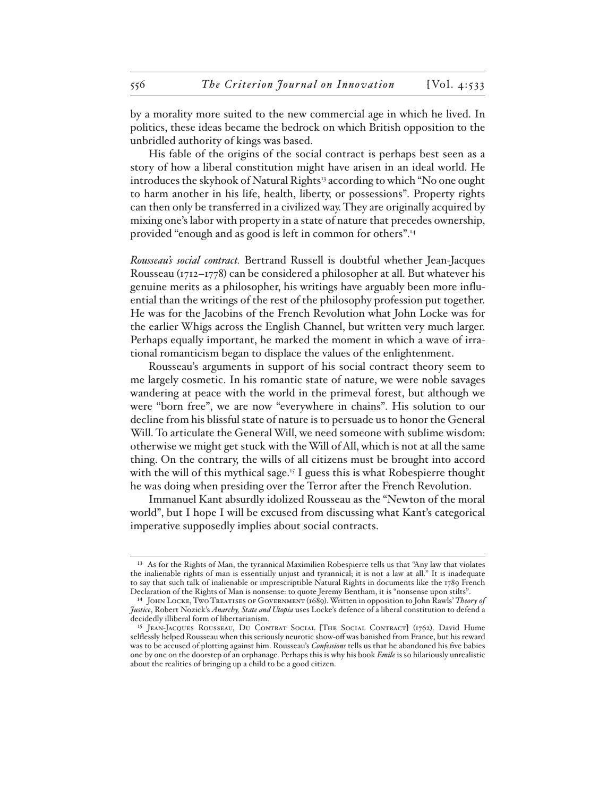by a morality more suited to the new commercial age in which he lived. In politics, these ideas became the bedrock on which British opposition to the unbridled authority of kings was based.

His fable of the origins of the social contract is perhaps best seen as a story of how a liberal constitution might have arisen in an ideal world. He introduces the skyhook of Natural Rights<sup>13</sup> according to which "No one ought to harm another in his life, health, liberty, or possessions". Property rights can then only be transferred in a civilized way. They are originally acquired by mixing one's labor with property in a state of nature that precedes ownership, provided "enough and as good is left in common for others".14

*Rousseau's social contract.* Bertrand Russell is doubtful whether Jean-Jacques Rousseau (1712–1778) can be considered a philosopher at all. But whatever his genuine merits as a philosopher, his writings have arguably been more influential than the writings of the rest of the philosophy profession put together. He was for the Jacobins of the French Revolution what John Locke was for the earlier Whigs across the English Channel, but written very much larger. Perhaps equally important, he marked the moment in which a wave of irrational romanticism began to displace the values of the enlightenment.

Rousseau's arguments in support of his social contract theory seem to me largely cosmetic. In his romantic state of nature, we were noble savages wandering at peace with the world in the primeval forest, but although we were "born free", we are now "everywhere in chains". His solution to our decline from his blissful state of nature is to persuade us to honor the General Will. To articulate the General Will, we need someone with sublime wisdom: otherwise we might get stuck with the Will of All, which is not at all the same thing. On the contrary, the wills of all citizens must be brought into accord with the will of this mythical sage.<sup>15</sup> I guess this is what Robespierre thought he was doing when presiding over the Terror after the French Revolution.

Immanuel Kant absurdly idolized Rousseau as the "Newton of the moral world", but I hope I will be excused from discussing what Kant's categorical imperative supposedly implies about social contracts.

<sup>13</sup> As for the Rights of Man, the tyrannical Maximilien Robespierre tells us that "Any law that violates the inalienable rights of man is essentially unjust and tyrannical; it is not a law at all." It is inadequate to say that such talk of inalienable or imprescriptible Natural Rights in documents like the 1789 French Declaration of the Rights of Man is nonsense: to quote Jeremy Bentham, it is "nonsense upon stilts".

<sup>14</sup> John Locke, Two Treatises of Government (1689). Written in opposition to John Rawls' *Theory of Justice*, Robert Nozick's *Anarchy, State and Utopia* uses Locke's defence of a liberal constitution to defend a decidedly illiberal form of libertarianism.

<sup>15</sup> Jean-Jacques Rousseau, Du Contrat Social [The Social Contract] (1762). David Hume selflessly helped Rousseau when this seriously neurotic show-off was banished from France, but his reward was to be accused of plotting against him. Rousseau's *Confessions* tells us that he abandoned his five babies one by one on the doorstep of an orphanage. Perhaps this is why his book *Emile* is so hilariously unrealistic about the realities of bringing up a child to be a good citizen.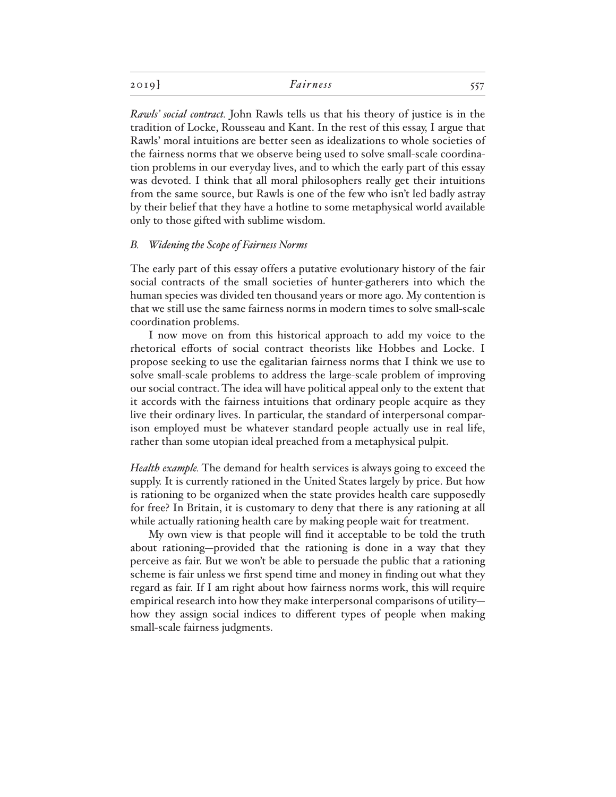# 2019] *Fair ness* 557

*Rawls' social contract.* John Rawls tells us that his theory of justice is in the tradition of Locke, Rousseau and Kant. In the rest of this essay, I argue that Rawls' moral intuitions are better seen as idealizations to whole societies of the fairness norms that we observe being used to solve small-scale coordination problems in our everyday lives, and to which the early part of this essay was devoted. I think that all moral philosophers really get their intuitions from the same source, but Rawls is one of the few who isn't led badly astray by their belief that they have a hotline to some metaphysical world available only to those gifted with sublime wisdom.

### *B. Widening the Scope of Fairness Norms*

The early part of this essay offers a putative evolutionary history of the fair social contracts of the small societies of hunter-gatherers into which the human species was divided ten thousand years or more ago. My contention is that we still use the same fairness norms in modern times to solve small-scale coordination problems.

I now move on from this historical approach to add my voice to the rhetorical efforts of social contract theorists like Hobbes and Locke. I propose seeking to use the egalitarian fairness norms that I think we use to solve small-scale problems to address the large-scale problem of improving our social contract. The idea will have political appeal only to the extent that it accords with the fairness intuitions that ordinary people acquire as they live their ordinary lives. In particular, the standard of interpersonal comparison employed must be whatever standard people actually use in real life, rather than some utopian ideal preached from a metaphysical pulpit.

*Health example.* The demand for health services is always going to exceed the supply. It is currently rationed in the United States largely by price. But how is rationing to be organized when the state provides health care supposedly for free? In Britain, it is customary to deny that there is any rationing at all while actually rationing health care by making people wait for treatment.

My own view is that people will find it acceptable to be told the truth about rationing—provided that the rationing is done in a way that they perceive as fair. But we won't be able to persuade the public that a rationing scheme is fair unless we first spend time and money in finding out what they regard as fair. If I am right about how fairness norms work, this will require empirical research into how they make interpersonal comparisons of utility how they assign social indices to different types of people when making small-scale fairness judgments.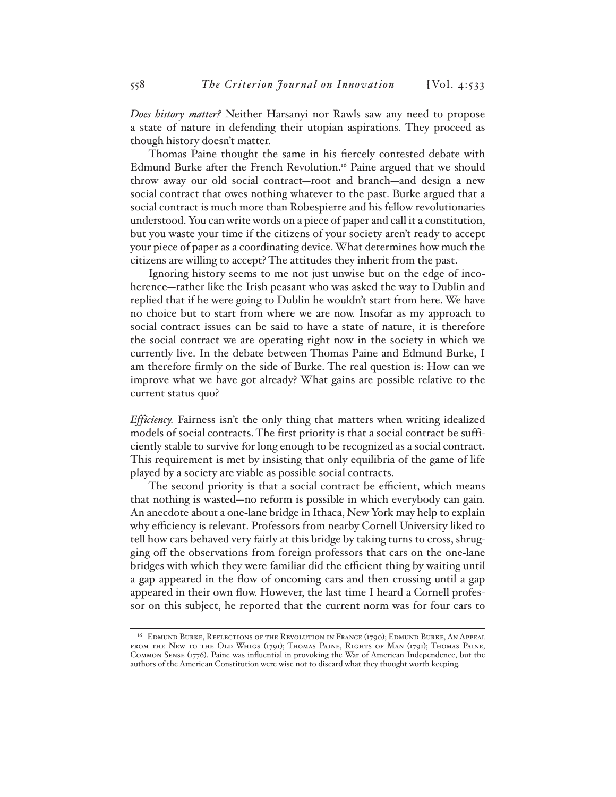*Does history matter?* Neither Harsanyi nor Rawls saw any need to propose a state of nature in defending their utopian aspirations. They proceed as though history doesn't matter.

Thomas Paine thought the same in his fiercely contested debate with Edmund Burke after the French Revolution.<sup>16</sup> Paine argued that we should throw away our old social contract—root and branch—and design a new social contract that owes nothing whatever to the past. Burke argued that a social contract is much more than Robespierre and his fellow revolutionaries understood. You can write words on a piece of paper and call it a constitution, but you waste your time if the citizens of your society aren't ready to accept your piece of paper as a coordinating device. What determines how much the citizens are willing to accept? The attitudes they inherit from the past.

Ignoring history seems to me not just unwise but on the edge of incoherence—rather like the Irish peasant who was asked the way to Dublin and replied that if he were going to Dublin he wouldn't start from here. We have no choice but to start from where we are now. Insofar as my approach to social contract issues can be said to have a state of nature, it is therefore the social contract we are operating right now in the society in which we currently live. In the debate between Thomas Paine and Edmund Burke, I am therefore firmly on the side of Burke. The real question is: How can we improve what we have got already? What gains are possible relative to the current status quo?

*Efficiency.* Fairness isn't the only thing that matters when writing idealized models of social contracts. The first priority is that a social contract be sufficiently stable to survive for long enough to be recognized as a social contract. This requirement is met by insisting that only equilibria of the game of life played by a society are viable as possible social contracts.

The second priority is that a social contract be efficient, which means that nothing is wasted—no reform is possible in which everybody can gain. An anecdote about a one-lane bridge in Ithaca, New York may help to explain why efficiency is relevant. Professors from nearby Cornell University liked to tell how cars behaved very fairly at this bridge by taking turns to cross, shrugging off the observations from foreign professors that cars on the one-lane bridges with which they were familiar did the efficient thing by waiting until a gap appeared in the flow of oncoming cars and then crossing until a gap appeared in their own flow. However, the last time I heard a Cornell professor on this subject, he reported that the current norm was for four cars to

<sup>16</sup> Edmund Burke, Reflections of the Revolution in France (1790); Edmund Burke, An Appeal from the New to the Old Whigs (1791); Thomas Paine, Rights of Man (1791); Thomas Paine, Common Sense (1776). Paine was influential in provoking the War of American Independence, but the authors of the American Constitution were wise not to discard what they thought worth keeping.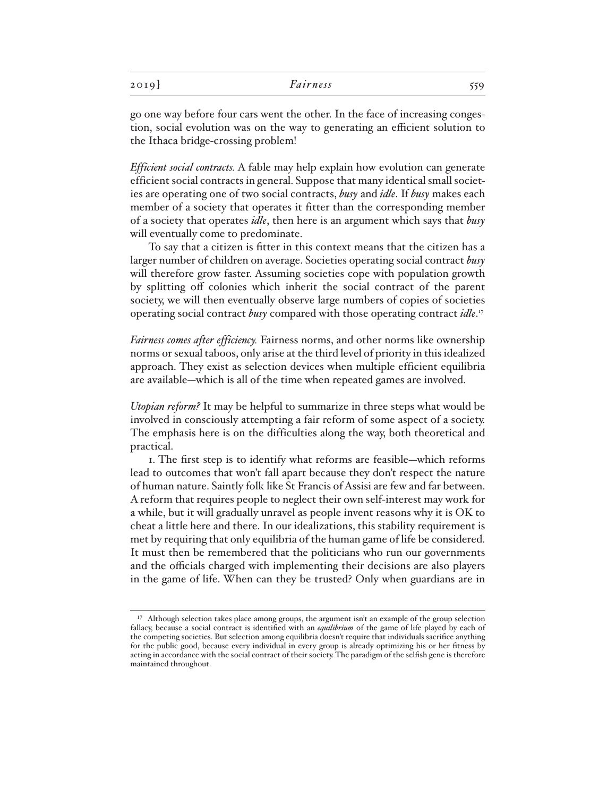| 2019] | Fairness | 559 |
|-------|----------|-----|
|       |          |     |

go one way before four cars went the other. In the face of increasing congestion, social evolution was on the way to generating an efficient solution to the Ithaca bridge-crossing problem!

*Efficient social contracts.* A fable may help explain how evolution can generate efficient social contracts in general. Suppose that many identical small societies are operating one of two social contracts, *busy* and *idle*. If *busy* makes each member of a society that operates it fitter than the corresponding member of a society that operates *idle*, then here is an argument which says that *busy* will eventually come to predominate.

To say that a citizen is fitter in this context means that the citizen has a larger number of children on average. Societies operating social contract *busy* will therefore grow faster. Assuming societies cope with population growth by splitting off colonies which inherit the social contract of the parent society, we will then eventually observe large numbers of copies of societies operating social contract *busy* compared with those operating contract *idle*. 17

*Fairness comes after efficiency.* Fairness norms, and other norms like ownership norms or sexual taboos, only arise at the third level of priority in this idealized approach. They exist as selection devices when multiple efficient equilibria are available—which is all of the time when repeated games are involved.

*Utopian reform?* It may be helpful to summarize in three steps what would be involved in consciously attempting a fair reform of some aspect of a society. The emphasis here is on the difficulties along the way, both theoretical and practical.

1. The first step is to identify what reforms are feasible—which reforms lead to outcomes that won't fall apart because they don't respect the nature of human nature. Saintly folk like St Francis of Assisi are few and far between. A reform that requires people to neglect their own self-interest may work for a while, but it will gradually unravel as people invent reasons why it is OK to cheat a little here and there. In our idealizations, this stability requirement is met by requiring that only equilibria of the human game of life be considered. It must then be remembered that the politicians who run our governments and the officials charged with implementing their decisions are also players in the game of life. When can they be trusted? Only when guardians are in

<sup>&</sup>lt;sup>17</sup> Although selection takes place among groups, the argument isn't an example of the group selection fallacy, because a social contract is identified with an *equilibrium* of the game of life played by each of the competing societies. But selection among equilibria doesn't require that individuals sacrifice anything for the public good, because every individual in every group is already optimizing his or her fitness by acting in accordance with the social contract of their society. The paradigm of the selfish gene is therefore maintained throughout.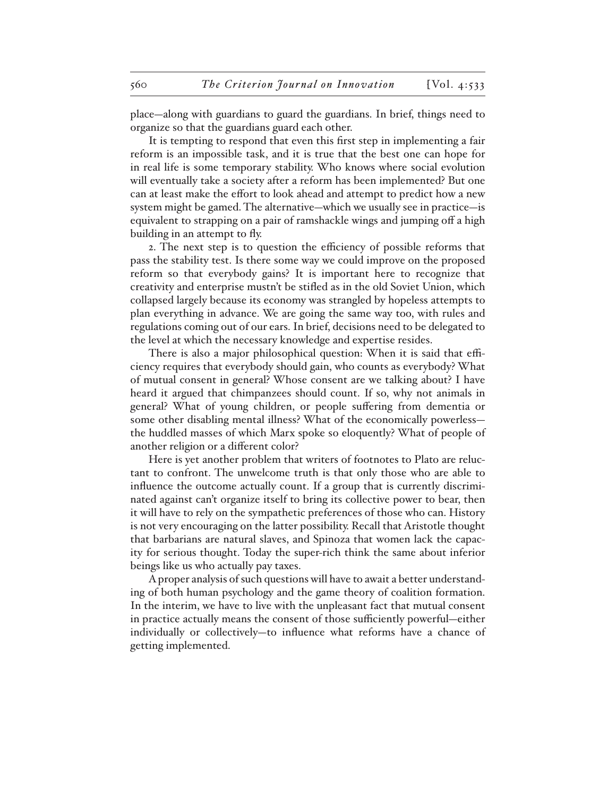place—along with guardians to guard the guardians. In brief, things need to organize so that the guardians guard each other.

It is tempting to respond that even this first step in implementing a fair reform is an impossible task, and it is true that the best one can hope for in real life is some temporary stability. Who knows where social evolution will eventually take a society after a reform has been implemented? But one can at least make the effort to look ahead and attempt to predict how a new system might be gamed. The alternative—which we usually see in practice—is equivalent to strapping on a pair of ramshackle wings and jumping off a high building in an attempt to fly.

2. The next step is to question the efficiency of possible reforms that pass the stability test. Is there some way we could improve on the proposed reform so that everybody gains? It is important here to recognize that creativity and enterprise mustn't be stifled as in the old Soviet Union, which collapsed largely because its economy was strangled by hopeless attempts to plan everything in advance. We are going the same way too, with rules and regulations coming out of our ears. In brief, decisions need to be delegated to the level at which the necessary knowledge and expertise resides.

There is also a major philosophical question: When it is said that efficiency requires that everybody should gain, who counts as everybody? What of mutual consent in general? Whose consent are we talking about? I have heard it argued that chimpanzees should count. If so, why not animals in general? What of young children, or people suffering from dementia or some other disabling mental illness? What of the economically powerless the huddled masses of which Marx spoke so eloquently? What of people of another religion or a different color?

Here is yet another problem that writers of footnotes to Plato are reluctant to confront. The unwelcome truth is that only those who are able to influence the outcome actually count. If a group that is currently discriminated against can't organize itself to bring its collective power to bear, then it will have to rely on the sympathetic preferences of those who can. History is not very encouraging on the latter possibility. Recall that Aristotle thought that barbarians are natural slaves, and Spinoza that women lack the capacity for serious thought. Today the super-rich think the same about inferior beings like us who actually pay taxes.

A proper analysis of such questions will have to await a better understanding of both human psychology and the game theory of coalition formation. In the interim, we have to live with the unpleasant fact that mutual consent in practice actually means the consent of those sufficiently powerful—either individually or collectively—to influence what reforms have a chance of getting implemented.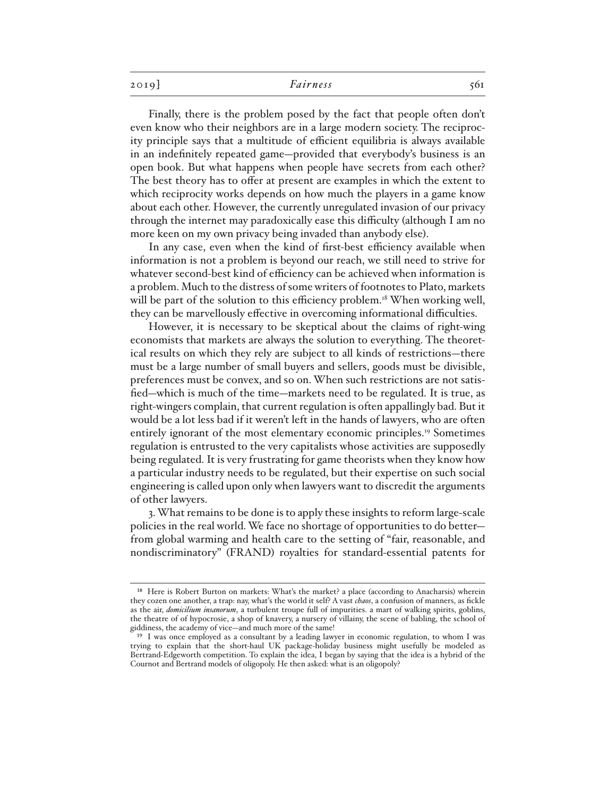| 2019] | Fairness | 561 |
|-------|----------|-----|
|       |          |     |

Finally, there is the problem posed by the fact that people often don't even know who their neighbors are in a large modern society. The reciprocity principle says that a multitude of efficient equilibria is always available in an indefinitely repeated game—provided that everybody's business is an open book. But what happens when people have secrets from each other? The best theory has to offer at present are examples in which the extent to which reciprocity works depends on how much the players in a game know about each other. However, the currently unregulated invasion of our privacy through the internet may paradoxically ease this difficulty (although I am no more keen on my own privacy being invaded than anybody else).

In any case, even when the kind of first-best efficiency available when information is not a problem is beyond our reach, we still need to strive for whatever second-best kind of efficiency can be achieved when information is a problem. Much to the distress of some writers of footnotes to Plato, markets will be part of the solution to this efficiency problem.<sup>18</sup> When working well, they can be marvellously effective in overcoming informational difficulties.

However, it is necessary to be skeptical about the claims of right-wing economists that markets are always the solution to everything. The theoretical results on which they rely are subject to all kinds of restrictions—there must be a large number of small buyers and sellers, goods must be divisible, preferences must be convex, and so on. When such restrictions are not satisfied—which is much of the time—markets need to be regulated. It is true, as right-wingers complain, that current regulation is often appallingly bad. But it would be a lot less bad if it weren't left in the hands of lawyers, who are often entirely ignorant of the most elementary economic principles.<sup>19</sup> Sometimes regulation is entrusted to the very capitalists whose activities are supposedly being regulated. It is very frustrating for game theorists when they know how a particular industry needs to be regulated, but their expertise on such social engineering is called upon only when lawyers want to discredit the arguments of other lawyers.

3. What remains to be done is to apply these insights to reform large-scale policies in the real world. We face no shortage of opportunities to do better from global warming and health care to the setting of "fair, reasonable, and nondiscriminatory" (FRAND) royalties for standard-essential patents for

<sup>&</sup>lt;sup>18</sup> Here is Robert Burton on markets: What's the market? a place (according to Anacharsis) wherein they cozen one another, a trap: nay, what's the world it self? A vast *chaos*, a confusion of manners, as fickle as the air, *domicilium insanorum*, a turbulent troupe full of impurities. a mart of walking spirits, goblins, the theatre of of hypocrosie, a shop of knavery, a nursery of villainy, the scene of babling, the school of giddiness, the academy of vice—and much more of the same!

<sup>&</sup>lt;sup>19</sup> I was once employed as a consultant by a leading lawyer in economic regulation, to whom I was trying to explain that the short-haul UK package-holiday business might usefully be modeled as Bertrand-Edgeworth competition. To explain the idea, I began by saying that the idea is a hybrid of the Cournot and Bertrand models of oligopoly. He then asked: what is an oligopoly?